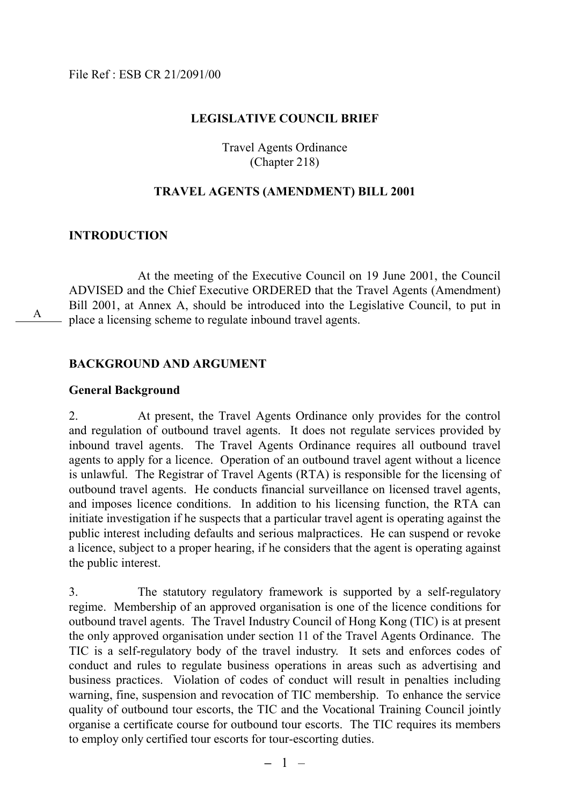#### **LEGISLATIVE COUNCIL BRIEF**

Travel Agents Ordinance (Chapter 218)

#### **TRAVEL AGENTS (AMENDMENT) BILL 2001**

#### **INTRODUCTION**

A

At the meeting of the Executive Council on 19 June 2001, the Council ADVISED and the Chief Executive ORDERED that the Travel Agents (Amendment) Bill 2001, at Annex A, should be introduced into the Legislative Council, to put in place a licensing scheme to regulate inbound travel agents.

#### **BACKGROUND AND ARGUMENT**

#### **General Background**

2. At present, the Travel Agents Ordinance only provides for the control and regulation of outbound travel agents. It does not regulate services provided by inbound travel agents. The Travel Agents Ordinance requires all outbound travel agents to apply for a licence. Operation of an outbound travel agent without a licence is unlawful. The Registrar of Travel Agents (RTA) is responsible for the licensing of outbound travel agents. He conducts financial surveillance on licensed travel agents, and imposes licence conditions. In addition to his licensing function, the RTA can initiate investigation if he suspects that a particular travel agent is operating against the public interest including defaults and serious malpractices. He can suspend or revoke a licence, subject to a proper hearing, if he considers that the agent is operating against the public interest.

3. The statutory regulatory framework is supported by a self-regulatory regime. Membership of an approved organisation is one of the licence conditions for outbound travel agents. The Travel Industry Council of Hong Kong (TIC) is at present the only approved organisation under section 11 of the Travel Agents Ordinance. The TIC is a self-regulatory body of the travel industry. It sets and enforces codes of conduct and rules to regulate business operations in areas such as advertising and business practices. Violation of codes of conduct will result in penalties including warning, fine, suspension and revocation of TIC membership. To enhance the service quality of outbound tour escorts, the TIC and the Vocational Training Council jointly organise a certificate course for outbound tour escorts. The TIC requires its members to employ only certified tour escorts for tour-escorting duties.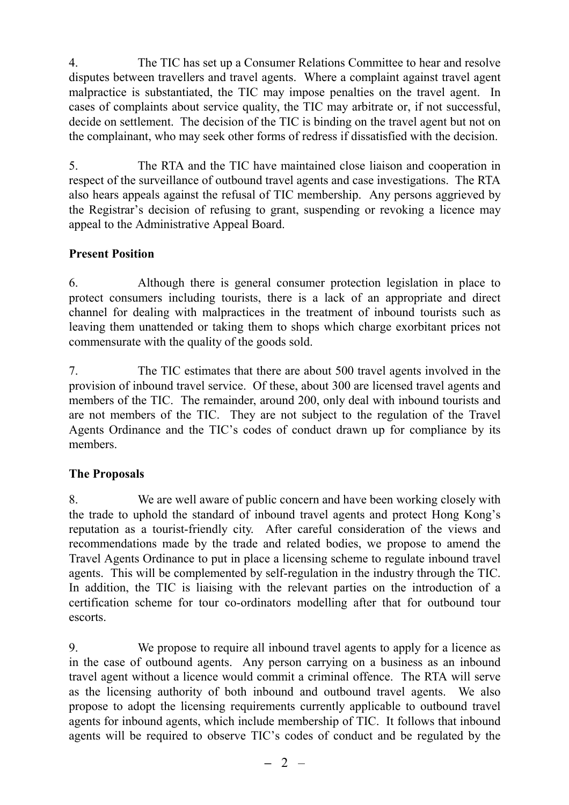4. The TIC has set up a Consumer Relations Committee to hear and resolve disputes between travellers and travel agents. Where a complaint against travel agent malpractice is substantiated, the TIC may impose penalties on the travel agent. In cases of complaints about service quality, the TIC may arbitrate or, if not successful, decide on settlement. The decision of the TIC is binding on the travel agent but not on the complainant, who may seek other forms of redress if dissatisfied with the decision.

5. The RTA and the TIC have maintained close liaison and cooperation in respect of the surveillance of outbound travel agents and case investigations. The RTA also hears appeals against the refusal of TIC membership. Any persons aggrieved by the Registrar's decision of refusing to grant, suspending or revoking a licence may appeal to the Administrative Appeal Board.

## **Present Position**

6. Although there is general consumer protection legislation in place to protect consumers including tourists, there is a lack of an appropriate and direct channel for dealing with malpractices in the treatment of inbound tourists such as leaving them unattended or taking them to shops which charge exorbitant prices not commensurate with the quality of the goods sold.

7. The TIC estimates that there are about 500 travel agents involved in the provision of inbound travel service. Of these, about 300 are licensed travel agents and members of the TIC. The remainder, around 200, only deal with inbound tourists and are not members of the TIC. They are not subject to the regulation of the Travel Agents Ordinance and the TIC's codes of conduct drawn up for compliance by its members.

## **The Proposals**

8. We are well aware of public concern and have been working closely with the trade to uphold the standard of inbound travel agents and protect Hong Kong's reputation as a tourist-friendly city. After careful consideration of the views and recommendations made by the trade and related bodies, we propose to amend the Travel Agents Ordinance to put in place a licensing scheme to regulate inbound travel agents. This will be complemented by self-regulation in the industry through the TIC. In addition, the TIC is liaising with the relevant parties on the introduction of a certification scheme for tour co-ordinators modelling after that for outbound tour escorts.

9. We propose to require all inbound travel agents to apply for a licence as in the case of outbound agents. Any person carrying on a business as an inbound travel agent without a licence would commit a criminal offence. The RTA will serve as the licensing authority of both inbound and outbound travel agents. We also propose to adopt the licensing requirements currently applicable to outbound travel agents for inbound agents, which include membership of TIC. It follows that inbound agents will be required to observe TIC's codes of conduct and be regulated by the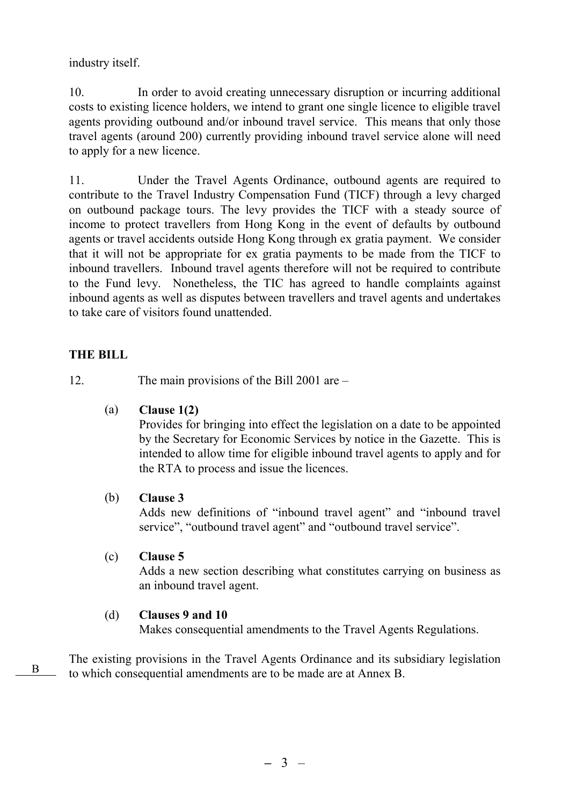industry itself.

10. In order to avoid creating unnecessary disruption or incurring additional costs to existing licence holders, we intend to grant one single licence to eligible travel agents providing outbound and/or inbound travel service. This means that only those travel agents (around 200) currently providing inbound travel service alone will need to apply for a new licence.

11. Under the Travel Agents Ordinance, outbound agents are required to contribute to the Travel Industry Compensation Fund (TICF) through a levy charged on outbound package tours. The levy provides the TICF with a steady source of income to protect travellers from Hong Kong in the event of defaults by outbound agents or travel accidents outside Hong Kong through ex gratia payment. We consider that it will not be appropriate for ex gratia payments to be made from the TICF to inbound travellers. Inbound travel agents therefore will not be required to contribute to the Fund levy. Nonetheless, the TIC has agreed to handle complaints against inbound agents as well as disputes between travellers and travel agents and undertakes to take care of visitors found unattended.

## **THE BILL**

12. The main provisions of the Bill 2001 are –

(a) **Clause 1(2)**

Provides for bringing into effect the legislation on a date to be appointed by the Secretary for Economic Services by notice in the Gazette. This is intended to allow time for eligible inbound travel agents to apply and for the RTA to process and issue the licences.

#### (b) **Clause 3**

Adds new definitions of "inbound travel agent" and "inbound travel service", "outbound travel agent" and "outbound travel service".

(c) **Clause 5**

Adds a new section describing what constitutes carrying on business as an inbound travel agent.

#### (d) **Clauses 9 and 10**

Makes consequential amendments to the Travel Agents Regulations.

The existing provisions in the Travel Agents Ordinance and its subsidiary legislation to which consequential amendments are to be made are at Annex B.<sup>B</sup>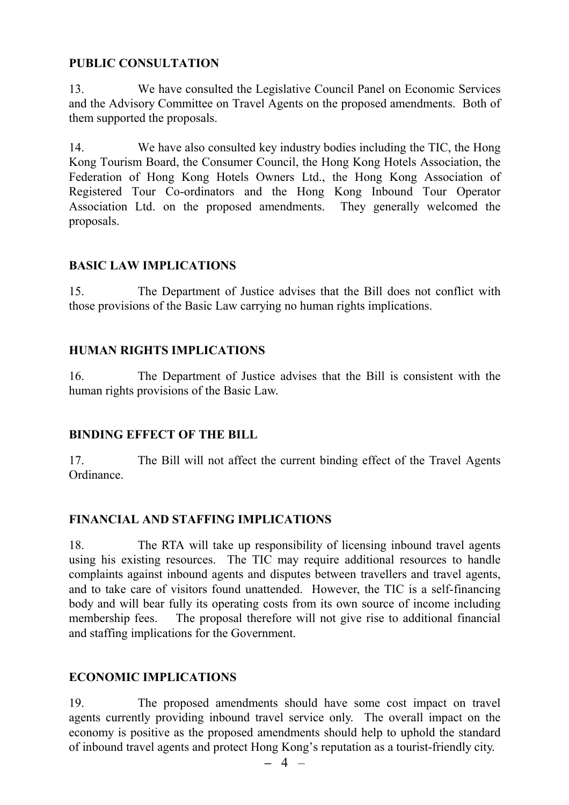## **PUBLIC CONSULTATION**

13. We have consulted the Legislative Council Panel on Economic Services and the Advisory Committee on Travel Agents on the proposed amendments. Both of them supported the proposals.

14. We have also consulted key industry bodies including the TIC, the Hong Kong Tourism Board, the Consumer Council, the Hong Kong Hotels Association, the Federation of Hong Kong Hotels Owners Ltd., the Hong Kong Association of Registered Tour Co-ordinators and the Hong Kong Inbound Tour Operator Association Ltd. on the proposed amendments. They generally welcomed the proposals.

## **BASIC LAW IMPLICATIONS**

15. The Department of Justice advises that the Bill does not conflict with those provisions of the Basic Law carrying no human rights implications.

## **HUMAN RIGHTS IMPLICATIONS**

16. The Department of Justice advises that the Bill is consistent with the human rights provisions of the Basic Law.

## **BINDING EFFECT OF THE BILL**

17. The Bill will not affect the current binding effect of the Travel Agents Ordinance.

## **FINANCIAL AND STAFFING IMPLICATIONS**

18. The RTA will take up responsibility of licensing inbound travel agents using his existing resources. The TIC may require additional resources to handle complaints against inbound agents and disputes between travellers and travel agents, and to take care of visitors found unattended. However, the TIC is a self-financing body and will bear fully its operating costs from its own source of income including membership fees. The proposal therefore will not give rise to additional financial and staffing implications for the Government.

## **ECONOMIC IMPLICATIONS**

19. The proposed amendments should have some cost impact on travel agents currently providing inbound travel service only. The overall impact on the economy is positive as the proposed amendments should help to uphold the standard of inbound travel agents and protect Hong Kong's reputation as a tourist-friendly city.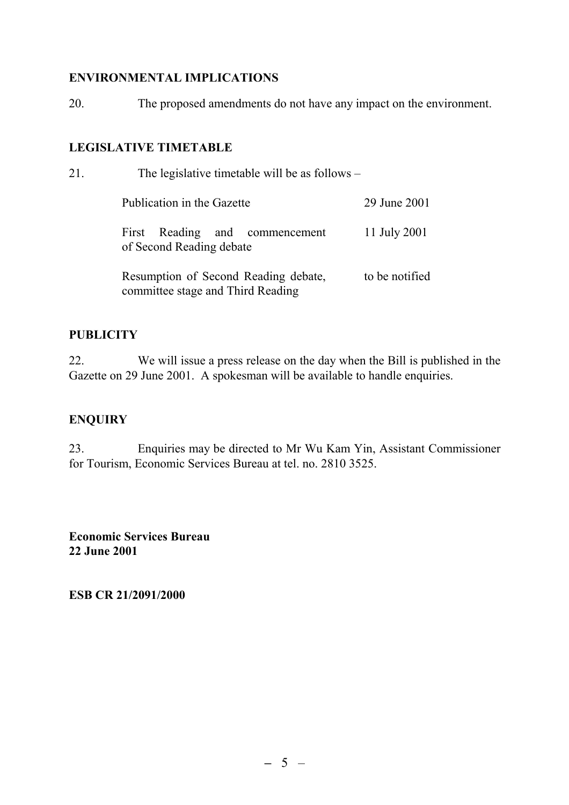### **ENVIRONMENTAL IMPLICATIONS**

20. The proposed amendments do not have any impact on the environment.

#### **LEGISLATIVE TIMETABLE**

| 21. | The legislative timetable will be as follows –                            |                |
|-----|---------------------------------------------------------------------------|----------------|
|     | Publication in the Gazette                                                | 29 June 2001   |
|     | First Reading and commencement<br>of Second Reading debate                | 11 July 2001   |
|     | Resumption of Second Reading debate,<br>committee stage and Third Reading | to be notified |

## **PUBLICITY**

22. We will issue a press release on the day when the Bill is published in the Gazette on 29 June 2001. A spokesman will be available to handle enquiries.

## **ENQUIRY**

23. Enquiries may be directed to Mr Wu Kam Yin, Assistant Commissioner for Tourism, Economic Services Bureau at tel. no. 2810 3525.

**Economic Services Bureau 22 June 2001**

**ESB CR 21/2091/2000**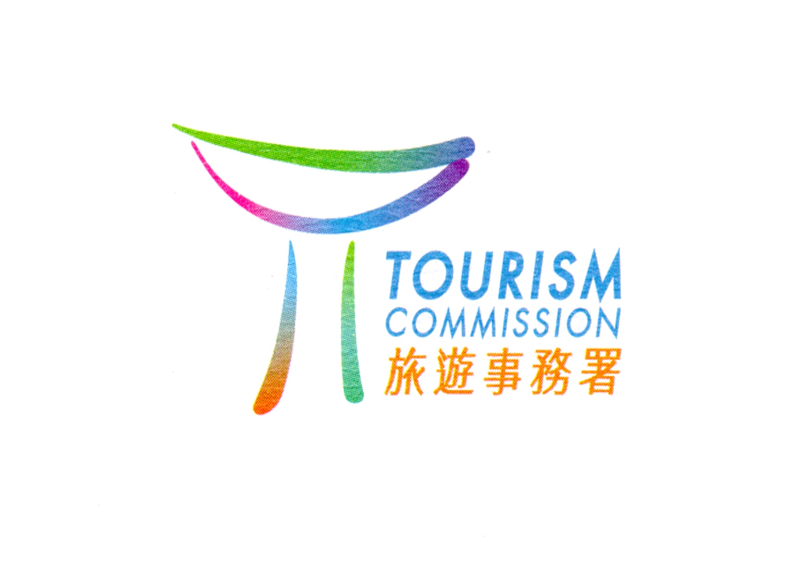

# TOURISM<br>COMMISSION<br>旅遊事務署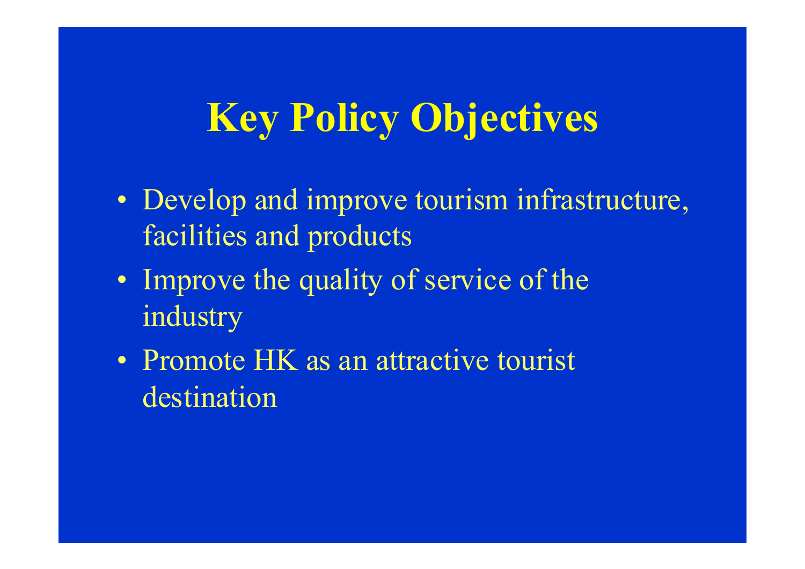# **Key Policy Objectives**

- Develop and improve tourism infrastructure, facilities and products
- Improve the quality of service of the industry
- Promote HK as an attractive tourist destination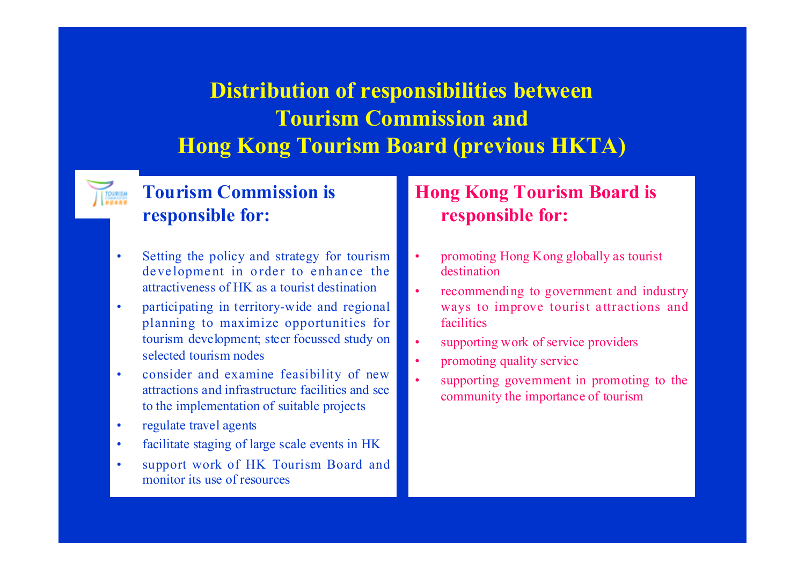# **Distribution of responsibilities between Tourism Commission andHong Kong Tourism Board (previous HKTA)**

# **Tourism Commission is responsible for:**

- Setting the policy and strategy for tourism development in order to enhance the attractiveness of HK as a tourist destination
- • participating in territory-wide and regional planning to maximize opportunities for tourism development; steer focussed study on selected tourism nodes
- • consider and examine feasibility of new attractions and infrastructure facilities and seeto the implementation of suitable projects
- •regulate travel agents
- •facilitate staging of large scale events in HK
- support work of HK Tourism Board and monitor its use of resources

# **Hong Kong Tourism Board is responsible for:**

- • promoting Hong Kong globally as tourist destination
- • recommending to government and industry ways to improve tourist attractions and facilities
- •supporting work of service providers
- •promoting quality service
- • supporting government in promoting to the community the importance of tourism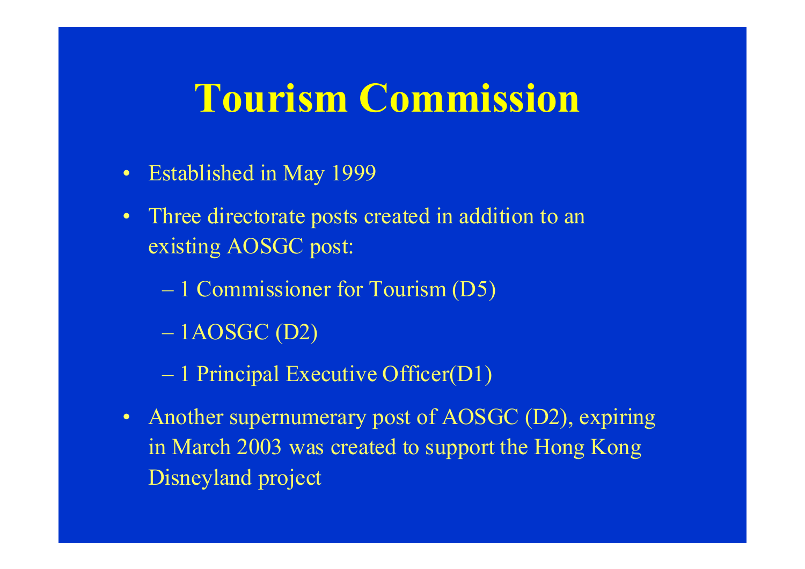# **Tourism Commission**

- $\bullet$ Established in May 1999
- • Three directorate posts created in addition to an existing AOSGC post:
	- 1 Commissioner for Tourism (D5)
	- $-1AOSGC(D2)$
	- 1 Principal Executive Officer(D1)
- $\bullet$  Another supernumerary post of AOSGC (D2), expiring in March 2003 was created to support the Hong Kong Disneyland project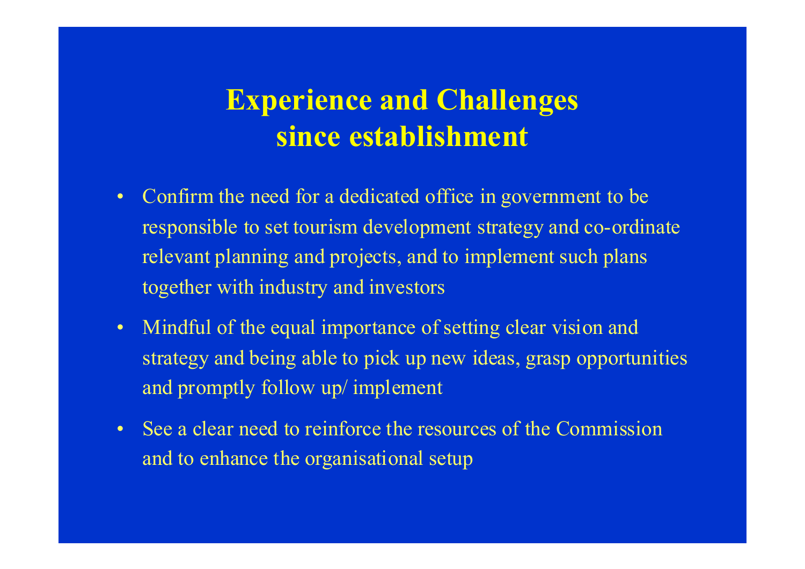# **Experience and Challenges since establishment**

- Confirm the need for a dedicated office in government to be responsible to set tourism development strategy and co-ordinate relevant planning and projects, and to implement such plans together with industry and investors
- Mindful of the equal importance of setting clear vision and strategy and being able to pick up new ideas, grasp opportunities and promptly follow up/ implement
- See a clear need to reinforce the resources of the Commission and to enhance the organisational setup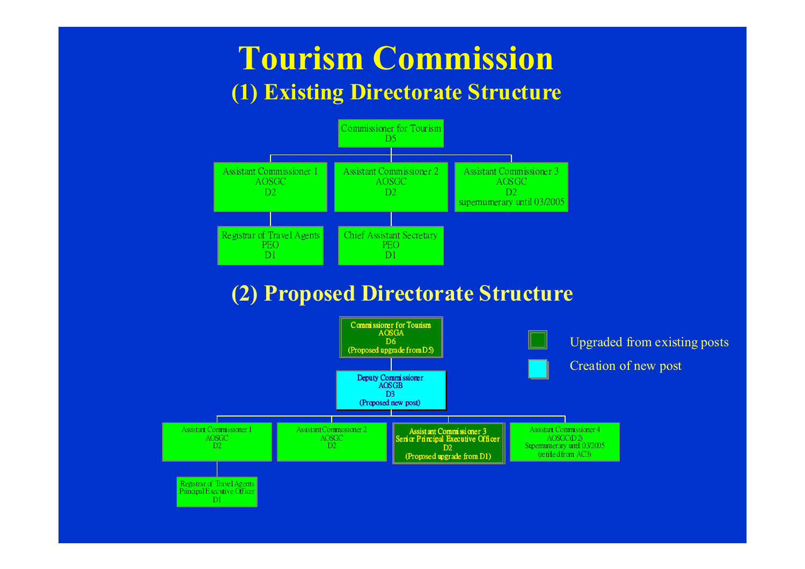# **Tourism Commission (1) Existing Directorate Structure**



# **(2) Proposed Directorate Structure**

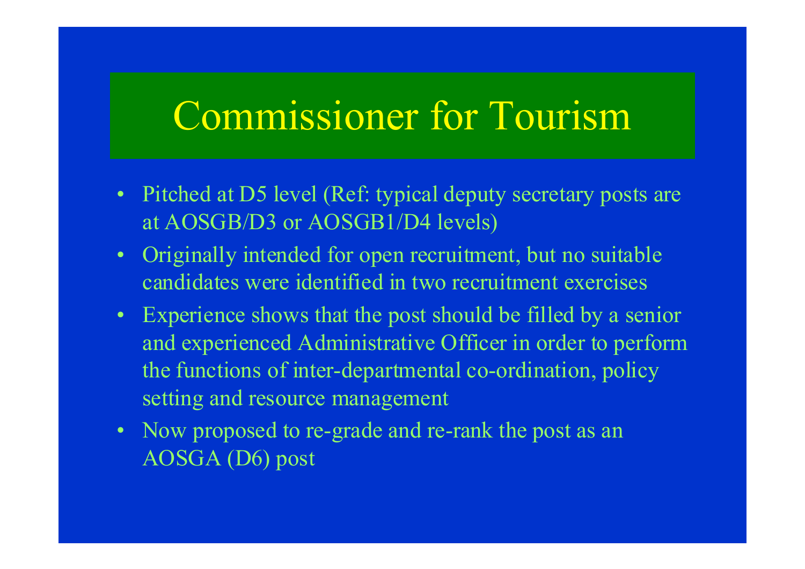# Commissioner for Tourism

- Pitched at D5 level (Ref: typical deputy secretary posts are at AOSGB/D3 or AOSGB1/D4 levels)
- Originally intended for open recruitment, but no suitable candidates were identified in two recruitment exercises
- Experience shows that the post should be filled by a senior and experienced Administrative Officer in order to perform the functions of inter-departmental co-ordination, policy setting and resource management
- Now proposed to re-grade and re-rank the post as an AOSGA (D6) post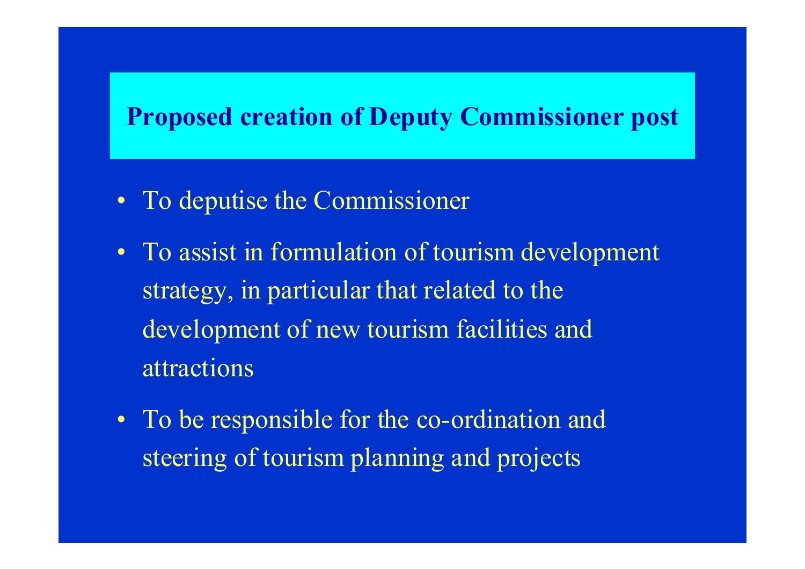# **Proposed creation of Deputy Commissioner post**

- To deputise the Commissioner
- To assist in formulation of tourism development strategy, in particular that related to the development of new tourism facilities and attractions
- To be responsible for the co-ordination and steering of tourism planning and projects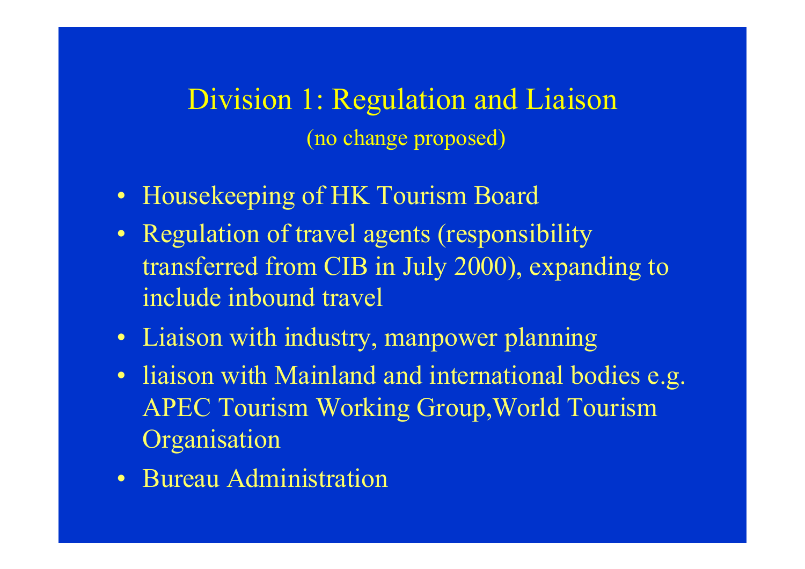Division 1: Regulation and Liaison (no change proposed)

- Housekeeping of HK Tourism Board
- Regulation of travel agents (responsibility transferred from CIB in July 2000), expanding to include inbound travel
- Liaison with industry, manpower planning
- liaison with Mainland and international bodies e.g. APEC Tourism Working Group,World Tourism **Organisation**
- Bureau Administration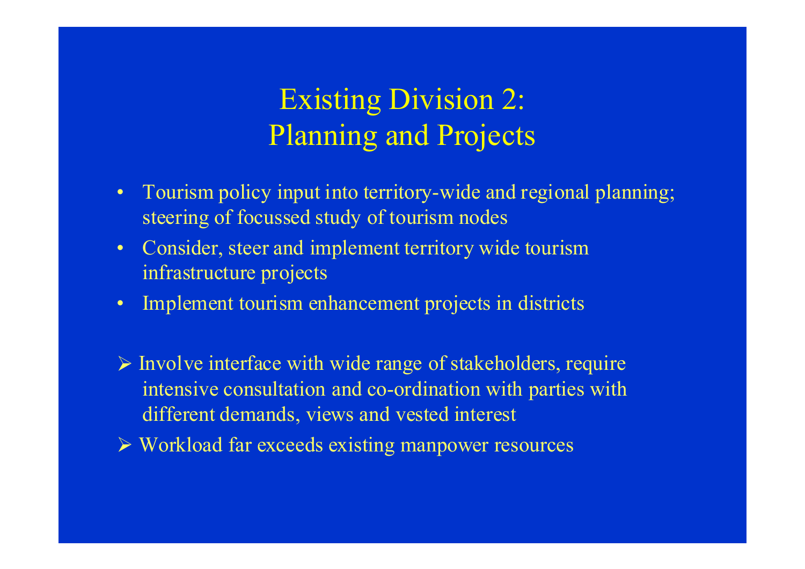# Existing Division 2: Planning and Projects

- Tourism policy input into territory-wide and regional planning; steering of focussed study of tourism nodes
- Consider, steer and implement territory wide tourism infrastructure projects
- $\bullet$ Implement tourism enhancement projects in districts
- $\triangleright$  Involve interface with wide range of stakeholders, require intensive consultation and co-ordination with parties with different demands, views and vested interest
- ¾ Workload far exceeds existing manpower resources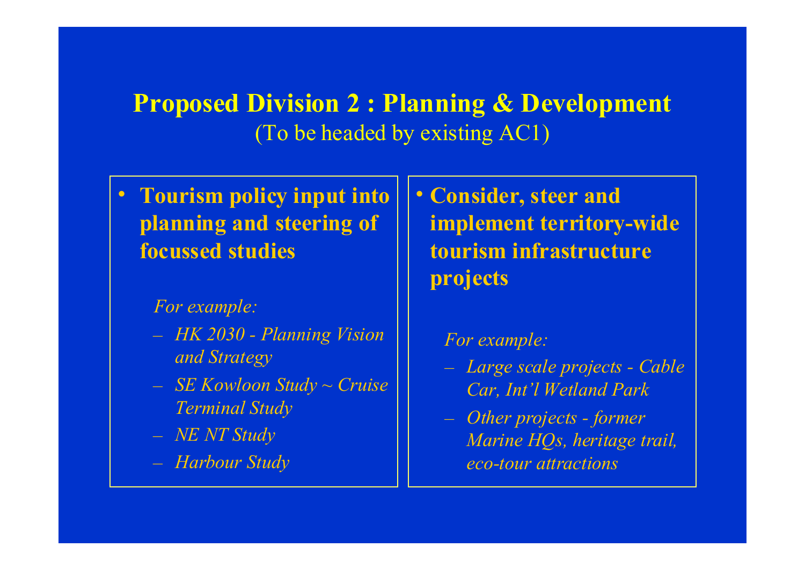# **Proposed Division 2 : Planning & Development** (To be headed by existing AC1)

 $\bullet$  **Tourism policy input into planning and steering of focussed studies**

# *For example:*

- *HK 2030 Planning Vision and Strategy*
- *SE Kowloon Study ~ Cruise Terminal Study*
- *NE NT Study*
- *Harbour Study*

• **Consider, steer and implement territory-wide tourism infrastructureprojects**

# *For example:*

- *Large scale projects Cable Car, Int'l Wetland Park*
- *Other projects former Marine HQs, heritage trail, eco-tour attractions*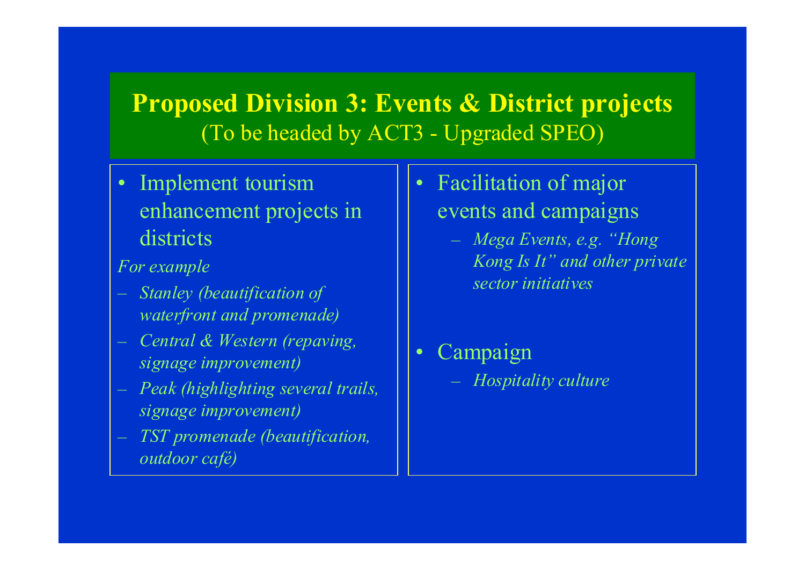# **Proposed Division 3: Events & District projects** (To be headed by ACT3 - Upgraded SPEO)

 $\bullet$ 

• Implement tourism enhancement projects in districts

*For example*

- *Stanley (beautification of waterfront and promenade)*
- *Central & Western (repaving, signage improvement)*
- *Peak (highlighting several trails, signage improvement)*
- *TST promenade (beautification, outdoor café)*
- Facilitation of major events and campaigns
	- *Mega Events, e.g. "Hong Kong Is It" and other private sector initiatives*
	- Campaign – *Hospitality culture*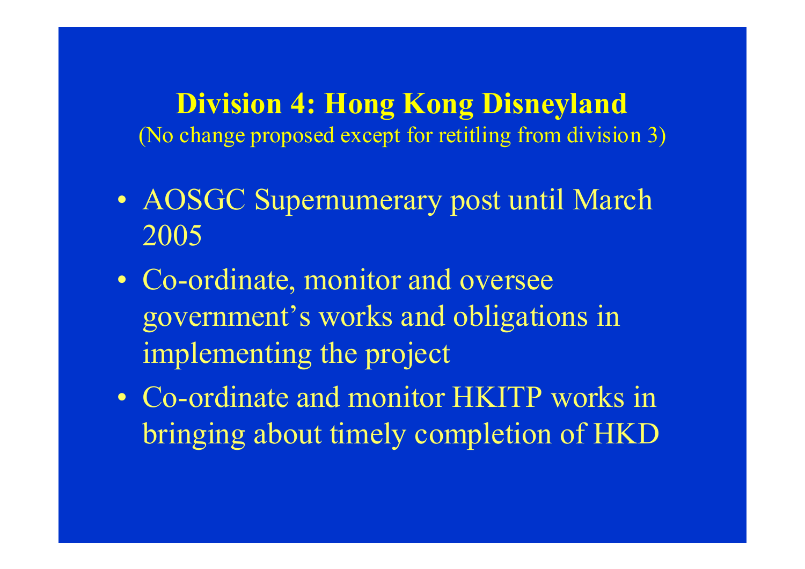**Division 4: Hong Kong Disneyland** (No change proposed except for retitling from division 3)

- AOSGC Supernumerary post until March 2005
- Co-ordinate, monitor and oversee governmen<sup>t</sup>'s works and obligations in implementing the project
- Co-ordinate and monitor HKITP works in bringing about timely completion of HKD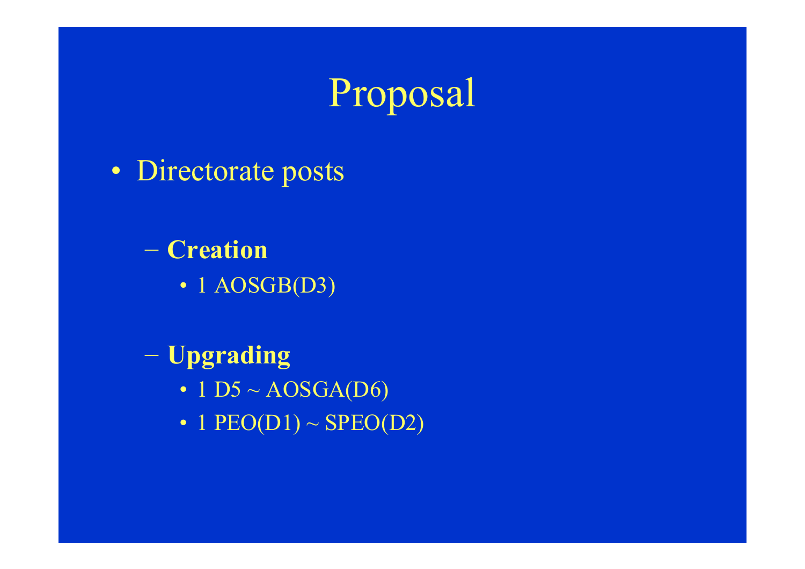

• Directorate posts

 **Creation**• 1 AOSGB(D3)

 **Upgrading** • 1 D5  $\sim$  AOSGA(D6) • 1 PEO(D1)  $\sim\text{SPEO}(\text{D2})$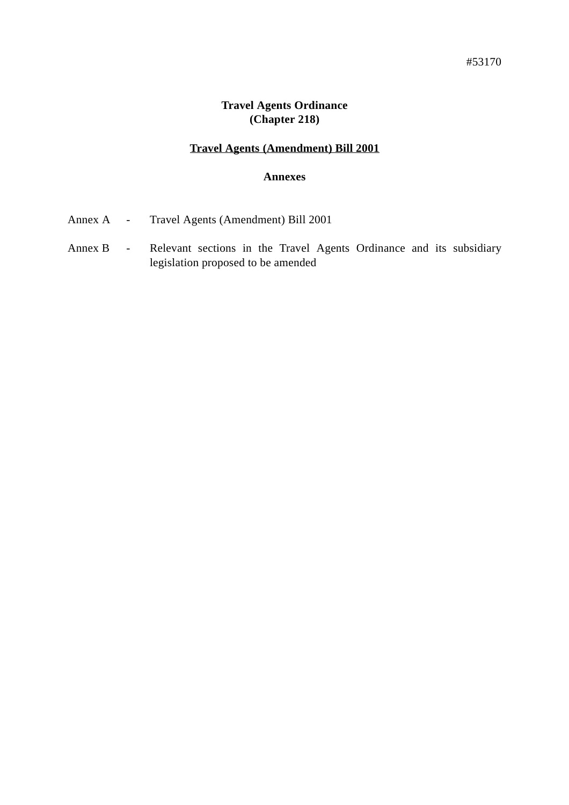#### **Travel Agents Ordinance (Chapter 218)**

## **Travel Agents (Amendment) Bill 2001**

#### **Annexes**

| Annex A |  |  | Travel Agents (Amendment) Bill 2001 |
|---------|--|--|-------------------------------------|
|---------|--|--|-------------------------------------|

Annex B - Relevant sections in the Travel Agents Ordinance and its subsidiary legislation proposed to be amended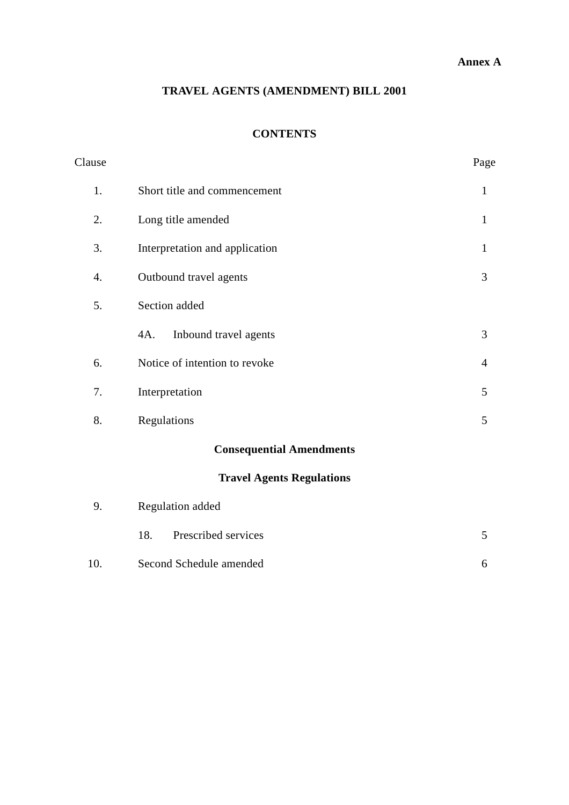### **Annex A**

## **TRAVEL AGENTS (AMENDMENT) BILL 2001**

## **CONTENTS**

| Clause |                                  | Page           |
|--------|----------------------------------|----------------|
| 1.     | Short title and commencement     | $\mathbf{1}$   |
| 2.     | Long title amended               | $\mathbf{1}$   |
| 3.     | Interpretation and application   | $\mathbf{1}$   |
| 4.     | Outbound travel agents           | 3              |
| 5.     | Section added                    |                |
|        | 4A.<br>Inbound travel agents     | 3              |
| 6.     | Notice of intention to revoke    | $\overline{4}$ |
| 7.     | Interpretation                   | 5              |
| 8.     | Regulations                      | 5              |
|        | <b>Consequential Amendments</b>  |                |
|        | <b>Travel Agents Regulations</b> |                |
| 9.     | Regulation added                 |                |
|        | 18.<br>Prescribed services       | 5              |
| 10.    | Second Schedule amended          | 6              |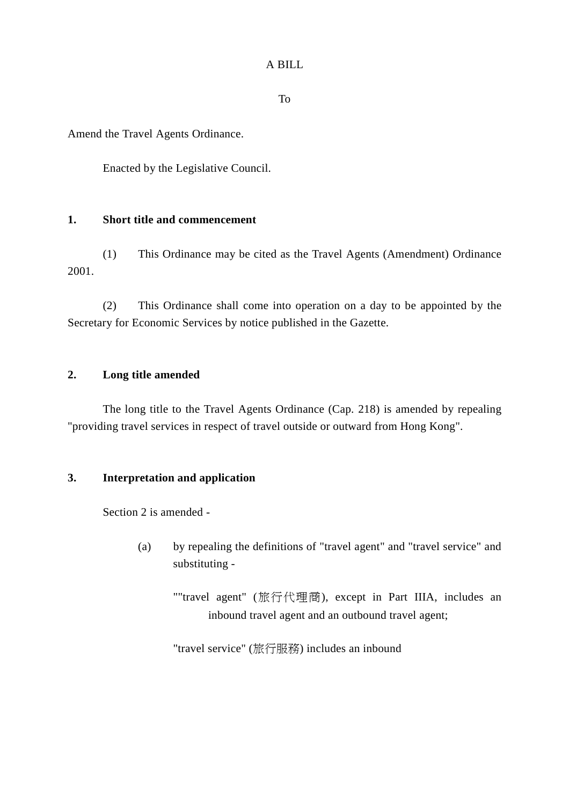#### A BILL

To

Amend the Travel Agents Ordinance.

Enacted by the Legislative Council.

#### **1. Short title and commencement**

(1) This Ordinance may be cited as the Travel Agents (Amendment) Ordinance 2001.

(2) This Ordinance shall come into operation on a day to be appointed by the Secretary for Economic Services by notice published in the Gazette.

#### **2. Long title amended**

The long title to the Travel Agents Ordinance (Cap. 218) is amended by repealing "providing travel services in respect of travel outside or outward from Hong Kong".

#### **3. Interpretation and application**

Section 2 is amended -

- (a) by repealing the definitions of "travel agent" and "travel service" and substituting -
	- ""travel agent" (旅行代理商), except in Part IIIA, includes an inbound travel agent and an outbound travel agent;

"travel service" (旅行服務) includes an inbound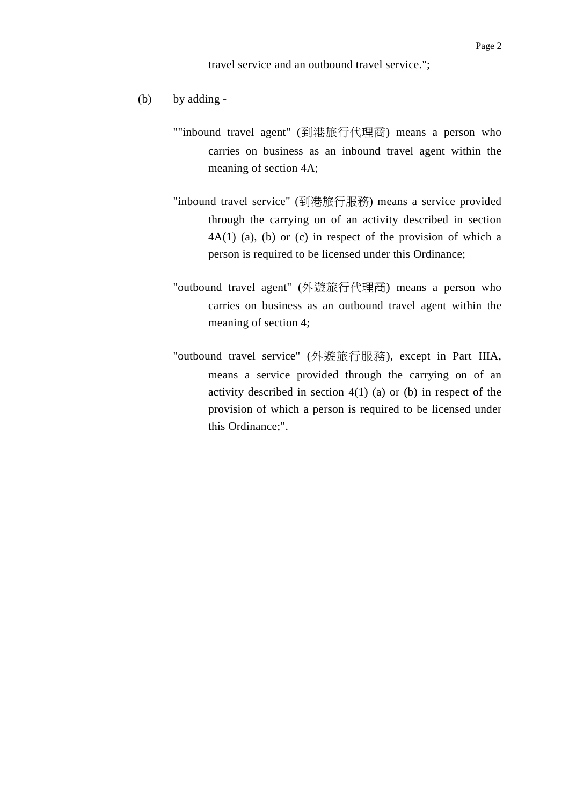travel service and an outbound travel service.";

- (b) by adding
	- ""inbound travel agent" (到港旅行代理商) means a person who carries on business as an inbound travel agent within the meaning of section 4A;
	- "inbound travel service" (到港旅行服務) means a service provided through the carrying on of an activity described in section  $4A(1)$  (a), (b) or (c) in respect of the provision of which a person is required to be licensed under this Ordinance;
	- "outbound travel agent" (外遊旅行代理商) means a person who carries on business as an outbound travel agent within the meaning of section 4;
	- "outbound travel service" (外遊旅行服務), except in Part IIIA, means a service provided through the carrying on of an activity described in section  $4(1)$  (a) or (b) in respect of the provision of which a person is required to be licensed under this Ordinance;".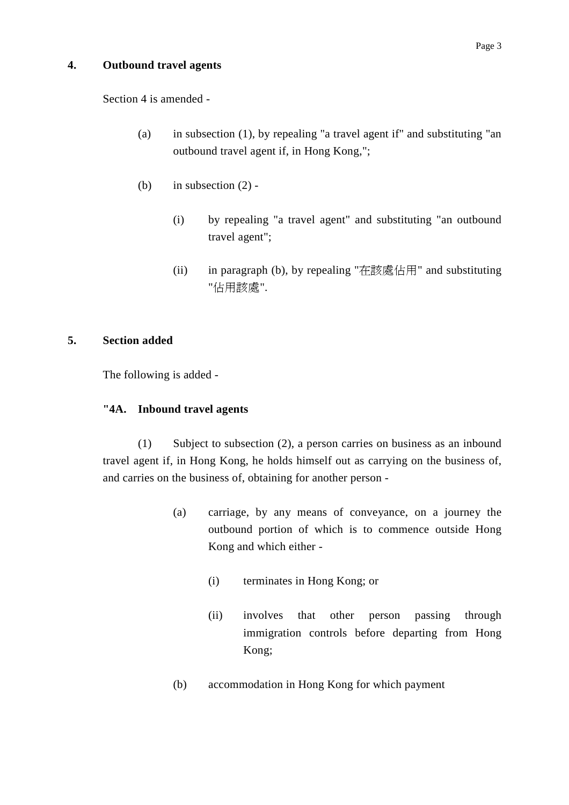#### **4. Outbound travel agents**

Section 4 is amended -

- (a) in subsection (1), by repealing "a travel agent if" and substituting "an outbound travel agent if, in Hong Kong,";
- (b) in subsection  $(2)$  -
	- (i) by repealing "a travel agent" and substituting "an outbound travel agent";
	- (ii) in paragraph (b), by repealing "在該處佔用" and substituting "佔用該處".

#### **5. Section added**

The following is added -

#### **"4A. Inbound travel agents**

(1) Subject to subsection (2), a person carries on business as an inbound travel agent if, in Hong Kong, he holds himself out as carrying on the business of, and carries on the business of, obtaining for another person -

- (a) carriage, by any means of conveyance, on a journey the outbound portion of which is to commence outside Hong Kong and which either -
	- (i) terminates in Hong Kong; or
	- (ii) involves that other person passing through immigration controls before departing from Hong Kong;
- (b) accommodation in Hong Kong for which payment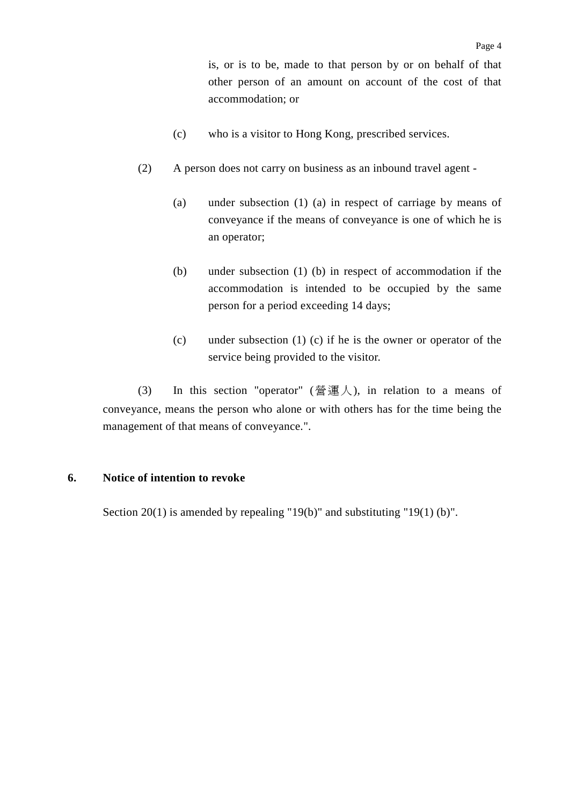is, or is to be, made to that person by or on behalf of that other person of an amount on account of the cost of that accommodation; or

- (c) who is a visitor to Hong Kong, prescribed services.
- (2) A person does not carry on business as an inbound travel agent
	- (a) under subsection (1) (a) in respect of carriage by means of conveyance if the means of conveyance is one of which he is an operator;
	- (b) under subsection (1) (b) in respect of accommodation if the accommodation is intended to be occupied by the same person for a period exceeding 14 days;
	- (c) under subsection (1) (c) if he is the owner or operator of the service being provided to the visitor.

(3) In this section "operator" (營運人), in relation to a means of conveyance, means the person who alone or with others has for the time being the management of that means of conveyance.".

#### **6. Notice of intention to revoke**

Section 20(1) is amended by repealing "19(b)" and substituting "19(1) (b)".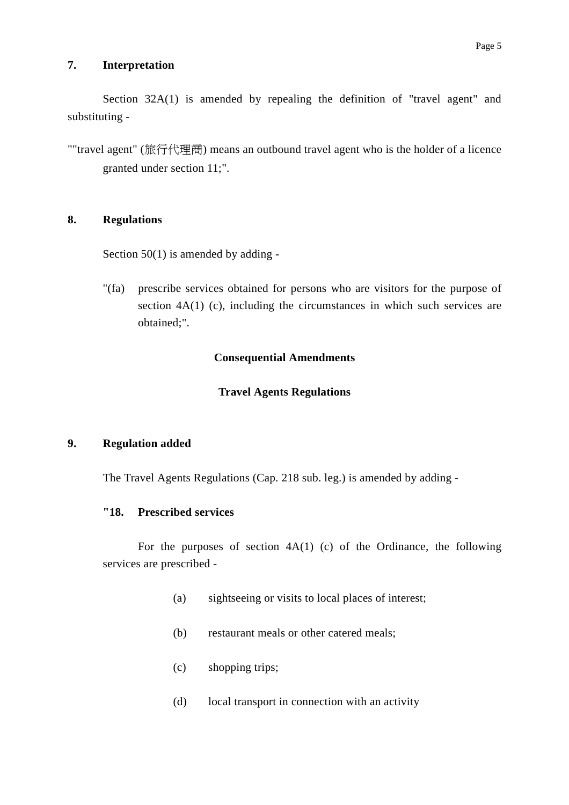#### **7. Interpretation**

Section 32A(1) is amended by repealing the definition of "travel agent" and substituting -

""travel agent" (旅行代理商) means an outbound travel agent who is the holder of a licence granted under section 11;".

#### **8. Regulations**

Section  $50(1)$  is amended by adding -

"(fa) prescribe services obtained for persons who are visitors for the purpose of section 4A(1) (c), including the circumstances in which such services are obtained;".

#### **Consequential Amendments**

#### **Travel Agents Regulations**

#### **9. Regulation added**

The Travel Agents Regulations (Cap. 218 sub. leg.) is amended by adding -

#### **"18. Prescribed services**

For the purposes of section  $4A(1)$  (c) of the Ordinance, the following services are prescribed -

- (a) sightseeing or visits to local places of interest;
- (b) restaurant meals or other catered meals;
- (c) shopping trips;
- (d) local transport in connection with an activity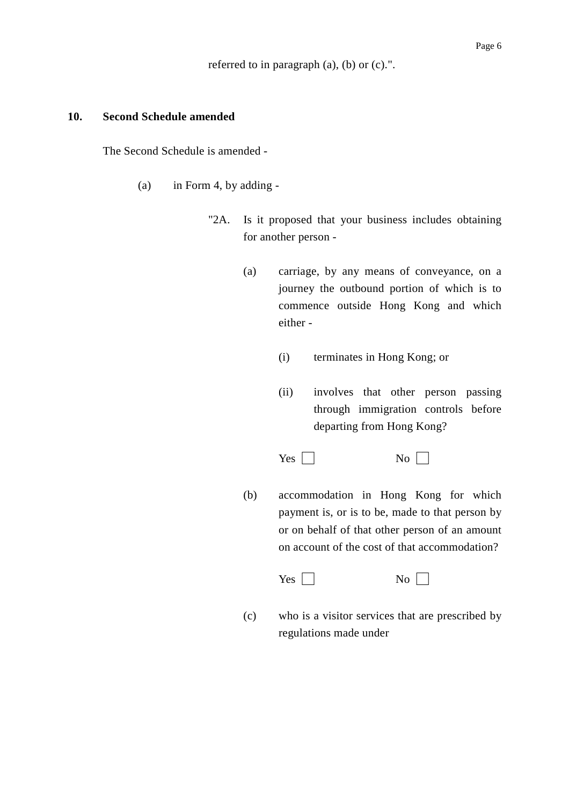referred to in paragraph (a), (b) or (c).".

#### **10. Second Schedule amended**

The Second Schedule is amended -

- (a) in Form 4, by adding
	- "2A. Is it proposed that your business includes obtaining for another person -
		- (a) carriage, by any means of conveyance, on a journey the outbound portion of which is to commence outside Hong Kong and which either -
			- (i) terminates in Hong Kong; or
			- (ii) involves that other person passing through immigration controls before departing from Hong Kong?

 $Yes \Box$  No  $\Box$ 

(b) accommodation in Hong Kong for which payment is, or is to be, made to that person by or on behalf of that other person of an amount on account of the cost of that accommodation?

 $Yes | |$  No  $\Box$ 

(c) who is a visitor services that are prescribed by regulations made under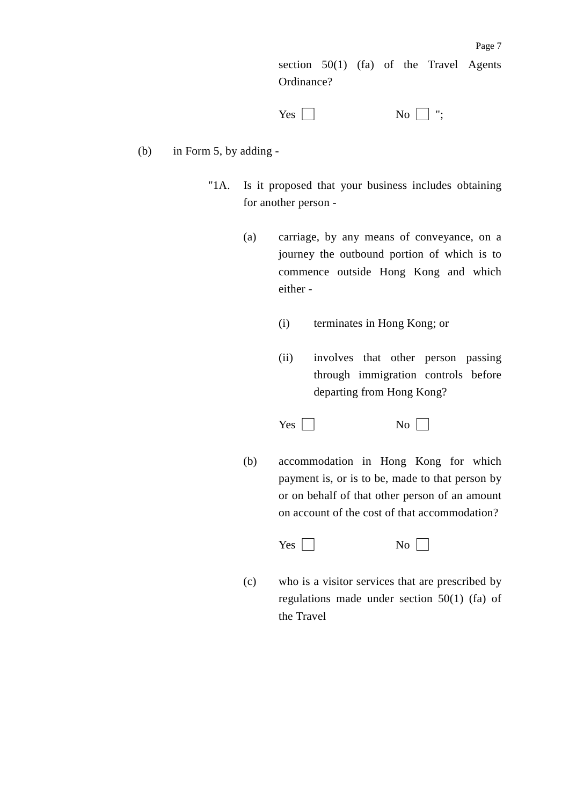section 50(1) (fa) of the Travel Agents Ordinance?

 $Yes \Box$  No  $\Box$  ";

- (b) in Form 5, by adding
	- "1A. Is it proposed that your business includes obtaining for another person -
		- (a) carriage, by any means of conveyance, on a journey the outbound portion of which is to commence outside Hong Kong and which either -
			- (i) terminates in Hong Kong; or
			- (ii) involves that other person passing through immigration controls before departing from Hong Kong?

 $Yes \Box$  No  $\Box$ 

(b) accommodation in Hong Kong for which payment is, or is to be, made to that person by or on behalf of that other person of an amount on account of the cost of that accommodation?

 $Yes \Box$  No  $\Box$ 

(c) who is a visitor services that are prescribed by regulations made under section 50(1) (fa) of the Travel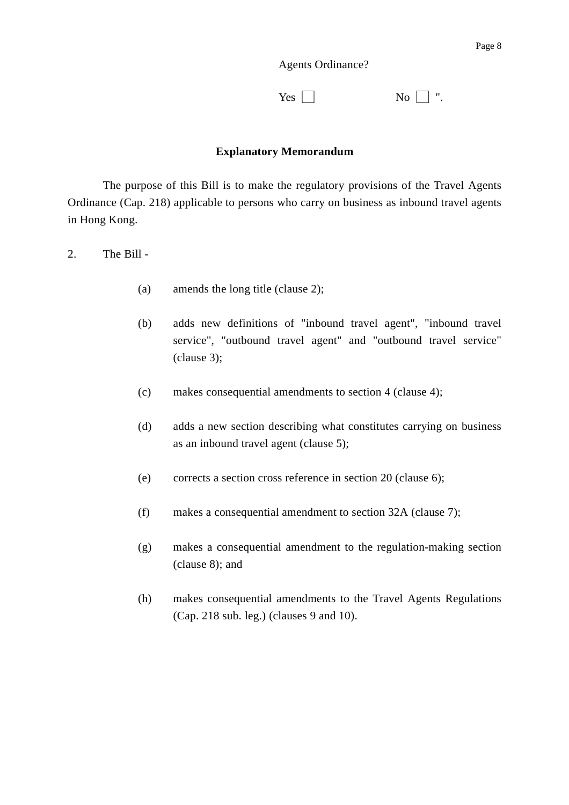Agents Ordinance?

| Yes $\Box$ | $\overline{N_0}$ $\vert \cdot \vert$ ". |
|------------|-----------------------------------------|
|------------|-----------------------------------------|

#### **Explanatory Memorandum**

The purpose of this Bill is to make the regulatory provisions of the Travel Agents Ordinance (Cap. 218) applicable to persons who carry on business as inbound travel agents in Hong Kong.

2. The Bill -

- (a) amends the long title (clause 2);
- (b) adds new definitions of "inbound travel agent", "inbound travel service", "outbound travel agent" and "outbound travel service" (clause 3);
- (c) makes consequential amendments to section 4 (clause 4);
- (d) adds a new section describing what constitutes carrying on business as an inbound travel agent (clause 5);
- (e) corrects a section cross reference in section 20 (clause 6);
- (f) makes a consequential amendment to section 32A (clause 7);
- (g) makes a consequential amendment to the regulation-making section (clause 8); and
- (h) makes consequential amendments to the Travel Agents Regulations (Cap. 218 sub. leg.) (clauses 9 and 10).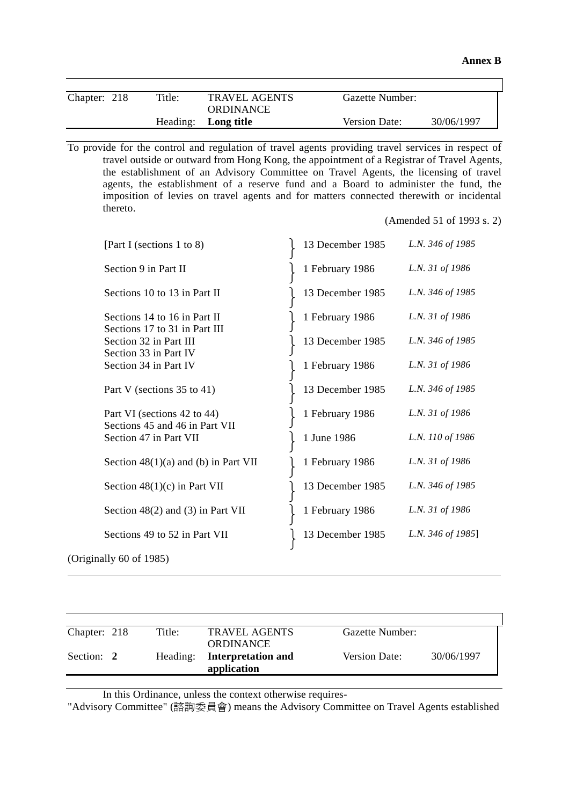| Chapter: 218 | Title: | <b>TRAVEL AGENTS</b> | Gazette Number:      |            |
|--------------|--------|----------------------|----------------------|------------|
|              |        | ORDINANCE            |                      |            |
|              |        | Heading: Long title  | <b>Version Date:</b> | 30/06/1997 |

To provide for the control and regulation of travel agents providing travel services in respect of travel outside or outward from Hong Kong, the appointment of a Registrar of Travel Agents, the establishment of an Advisory Committee on Travel Agents, the licensing of travel agents, the establishment of a reserve fund and a Board to administer the fund, the imposition of levies on travel agents and for matters connected therewith or incidental thereto.

(Amended 51 of 1993 s. 2)

| [Part I (sections 1 to 8)                                     | 13 December 1985 | L.N. 346 of 1985  |
|---------------------------------------------------------------|------------------|-------------------|
| Section 9 in Part II                                          | 1 February 1986  | L.N. 31 of 1986   |
| Sections 10 to 13 in Part II                                  | 13 December 1985 | L.N. 346 of 1985  |
| Sections 14 to 16 in Part II<br>Sections 17 to 31 in Part III | 1 February 1986  | L.N. 31 of 1986   |
| Section 32 in Part III<br>Section 33 in Part IV               | 13 December 1985 | L.N. 346 of 1985  |
| Section 34 in Part IV                                         | 1 February 1986  | L.N. 31 of 1986   |
| Part V (sections 35 to 41)                                    | 13 December 1985 | L.N. 346 of 1985  |
| Part VI (sections 42 to 44)<br>Sections 45 and 46 in Part VII | 1 February 1986  | L.N. 31 of 1986   |
| Section 47 in Part VII                                        | 1 June 1986      | L.N. 110 of 1986  |
| Section $48(1)(a)$ and (b) in Part VII                        | 1 February 1986  | L.N. 31 of 1986   |
| Section $48(1)(c)$ in Part VII                                | 13 December 1985 | L.N. 346 of 1985  |
| Section $48(2)$ and $(3)$ in Part VII                         | 1 February 1986  | L.N. 31 of 1986   |
| Sections 49 to 52 in Part VII                                 | 13 December 1985 | L.N. 346 of 1985] |
| (Originally 60 of 1985)                                       |                  |                   |

| Chapter: 218 | Title:   | <b>TRAVEL AGENTS</b>      | Gazette Number: |            |
|--------------|----------|---------------------------|-----------------|------------|
|              |          | <b>ORDINANCE</b>          |                 |            |
| Section: 2   | Heading: | <b>Interpretation and</b> | Version Date:   | 30/06/1997 |
|              |          | application               |                 |            |

In this Ordinance, unless the context otherwise requires-

 $\overline{a}$ 

"Advisory Committee" (諮詢委員會) means the Advisory Committee on Travel Agents established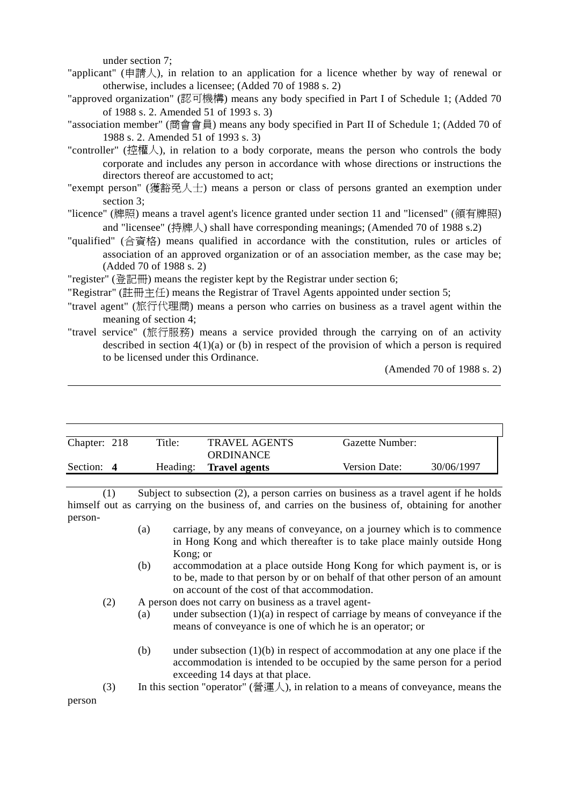under section 7;

"applicant" (申請人), in relation to an application for a licence whether by way of renewal or otherwise, includes a licensee; (Added 70 of 1988 s. 2)

"approved organization" (認可機構) means any body specified in Part I of Schedule 1; (Added 70 of 1988 s. 2. Amended 51 of 1993 s. 3)

"association member" (商會會員) means any body specified in Part II of Schedule 1; (Added 70 of 1988 s. 2. Amended 51 of 1993 s. 3)

"controller" (控權人), in relation to a body corporate, means the person who controls the body corporate and includes any person in accordance with whose directions or instructions the directors thereof are accustomed to act;

"exempt person" (獲豁免㆟士) means a person or class of persons granted an exemption under section 3;

"licence" (牌照) means a travel agent's licence granted under section 11 and "licensed" (領有牌照) and "licensee" (持牌人) shall have corresponding meanings; (Amended 70 of 1988 s.2)

"qualified" (合資格) means qualified in accordance with the constitution, rules or articles of association of an approved organization or of an association member, as the case may be; (Added 70 of 1988 s. 2)

"register" (登記冊) means the register kept by the Registrar under section 6;

"Registrar" (註冊主任) means the Registrar of Travel Agents appointed under section 5;

- "travel agent" (旅行代理商) means a person who carries on business as a travel agent within the meaning of section 4;
- "travel service" (旅行服務) means a service provided through the carrying on of an activity described in section  $4(1)(a)$  or (b) in respect of the provision of which a person is required to be licensed under this Ordinance.

(Amended 70 of 1988 s. 2)

| Chapter: 218 | Title:   | <b>TRAVEL AGENTS</b> | Gazette Number:      |            |
|--------------|----------|----------------------|----------------------|------------|
|              |          | <b>ORDINANCE</b>     |                      |            |
| Section: 4   | Heading: | <b>Travel agents</b> | <b>Version Date:</b> | 30/06/1997 |
|              |          |                      |                      |            |

(1) Subject to subsection (2), a person carries on business as a travel agent if he holds himself out as carrying on the business of, and carries on the business of, obtaining for another person-

- (a) carriage, by any means of conveyance, on a journey which is to commence in Hong Kong and which thereafter is to take place mainly outside Hong Kong; or
- (b) accommodation at a place outside Hong Kong for which payment is, or is to be, made to that person by or on behalf of that other person of an amount on account of the cost of that accommodation.

(2) A person does not carry on business as a travel agent-

- (a) under subsection  $(1)(a)$  in respect of carriage by means of conveyance if the means of conveyance is one of which he is an operator; or
- (b) under subsection  $(1)(b)$  in respect of accommodation at any one place if the accommodation is intended to be occupied by the same person for a period exceeding 14 days at that place.
- (3) In this section "operator" (營運人), in relation to a means of conveyance, means the

person

 $\overline{a}$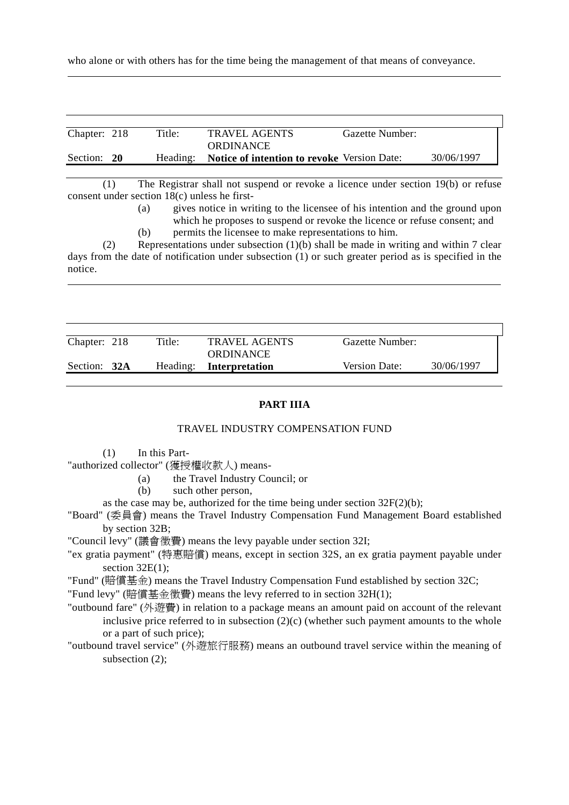who alone or with others has for the time being the management of that means of conveyance.

| Chapter: 218 | Title: | <b>TRAVEL AGENTS</b>                                 | Gazette Number: |            |
|--------------|--------|------------------------------------------------------|-----------------|------------|
|              |        | <b>ORDINANCE</b>                                     |                 |            |
| Section: 20  |        | Heading: Notice of intention to revoke Version Date: |                 | 30/06/1997 |

(1) The Registrar shall not suspend or revoke a licence under section 19(b) or refuse consent under section 18(c) unless he first-

> (a) gives notice in writing to the licensee of his intention and the ground upon which he proposes to suspend or revoke the licence or refuse consent; and

(b) permits the licensee to make representations to him.

(2) Representations under subsection (1)(b) shall be made in writing and within 7 clear days from the date of notification under subsection (1) or such greater period as is specified in the notice.  $\overline{a}$ 

| Chapter: 218 | Title: | <b>TRAVEL AGENTS</b>    | Gazette Number:      |            |
|--------------|--------|-------------------------|----------------------|------------|
|              |        | <b>ORDINANCE</b>        |                      |            |
| Section: 32A |        | Heading: Interpretation | <b>Version Date:</b> | 30/06/1997 |
|              |        |                         |                      |            |

#### **PART IIIA**

#### TRAVEL INDUSTRY COMPENSATION FUND

(1) In this Part-

 $\overline{a}$ 

"authorized collector" (獲授權收款人) means-

- (a) the Travel Industry Council; or
- (b) such other person,
- as the case may be, authorized for the time being under section  $32F(2)(b)$ ;
- "Board" (委員會) means the Travel Industry Compensation Fund Management Board established by section 32B;

"Council levy" (議會徵費) means the levy payable under section 32I;

- "ex gratia payment" (特惠賠償) means, except in section 32S, an ex gratia payment payable under section  $32E(1)$ ;
- "Fund" (賠償基金) means the Travel Industry Compensation Fund established by section 32C;

"Fund levy" (賠償基金徵費) means the levy referred to in section 32H(1);

- "outbound fare" (外遊費) in relation to a package means an amount paid on account of the relevant inclusive price referred to in subsection  $(2)(c)$  (whether such payment amounts to the whole or a part of such price);
- "outbound travel service" (外遊旅行服務) means an outbound travel service within the meaning of subsection (2);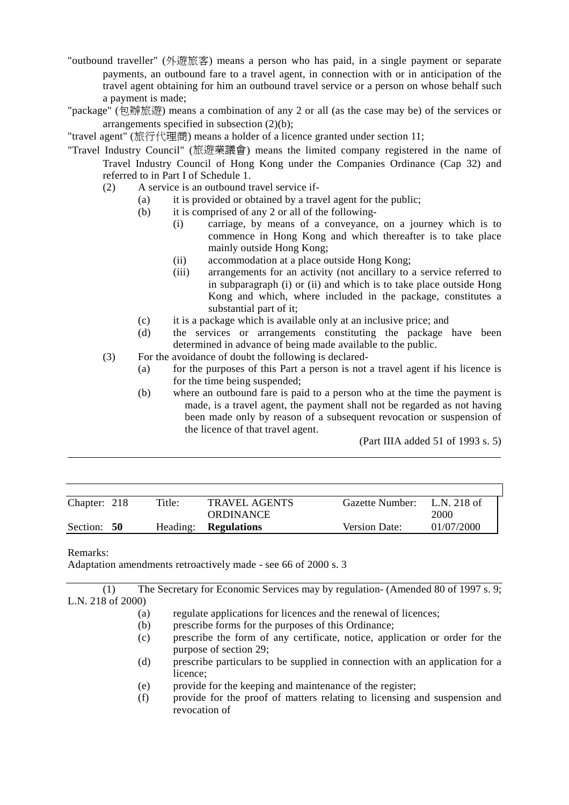- "outbound traveller" (外遊旅客) means a person who has paid, in a single payment or separate payments, an outbound fare to a travel agent, in connection with or in anticipation of the travel agent obtaining for him an outbound travel service or a person on whose behalf such a payment is made;
- "package" (包辦旅遊) means a combination of any 2 or all (as the case may be) of the services or arrangements specified in subsection (2)(b);

"travel agent" (旅行代理商) means a holder of a licence granted under section 11;

"Travel Industry Council" (旅遊業議會) means the limited company registered in the name of Travel Industry Council of Hong Kong under the Companies Ordinance (Cap 32) and referred to in Part I of Schedule 1.

- (2) A service is an outbound travel service if-
	- (a) it is provided or obtained by a travel agent for the public;
	- (b) it is comprised of any 2 or all of the following-
		- (i) carriage, by means of a conveyance, on a journey which is to commence in Hong Kong and which thereafter is to take place mainly outside Hong Kong;
		- (ii) accommodation at a place outside Hong Kong;
		- (iii) arrangements for an activity (not ancillary to a service referred to in subparagraph (i) or (ii) and which is to take place outside Hong Kong and which, where included in the package, constitutes a substantial part of it;
	- (c) it is a package which is available only at an inclusive price; and
	- (d) the services or arrangements constituting the package have been determined in advance of being made available to the public.
- (3) For the avoidance of doubt the following is declared-
	- (a) for the purposes of this Part a person is not a travel agent if his licence is for the time being suspended;
	- (b) where an outbound fare is paid to a person who at the time the payment is made, is a travel agent, the payment shall not be regarded as not having been made only by reason of a subsequent revocation or suspension of the licence of that travel agent.

(Part IIIA added 51 of 1993 s. 5)

| Chapter: 218 | Title: | TRAVEL AGENTS               | Gazette Number:      | L.N. 218 of |
|--------------|--------|-----------------------------|----------------------|-------------|
|              |        | ORDINANCE                   |                      | 2000        |
| Section: 50  |        | Heading: <b>Regulations</b> | <b>Version Date:</b> | 01/07/2000  |

#### Remarks:

 $\overline{a}$ 

Adaptation amendments retroactively made - see 66 of 2000 s. 3

(1) The Secretary for Economic Services may by regulation- (Amended 80 of 1997 s. 9; L.N. 218 of 2000)

- (a) regulate applications for licences and the renewal of licences;
- (b) prescribe forms for the purposes of this Ordinance;
- (c) prescribe the form of any certificate, notice, application or order for the purpose of section 29;
- (d) prescribe particulars to be supplied in connection with an application for a licence;
- (e) provide for the keeping and maintenance of the register;
- (f) provide for the proof of matters relating to licensing and suspension and revocation of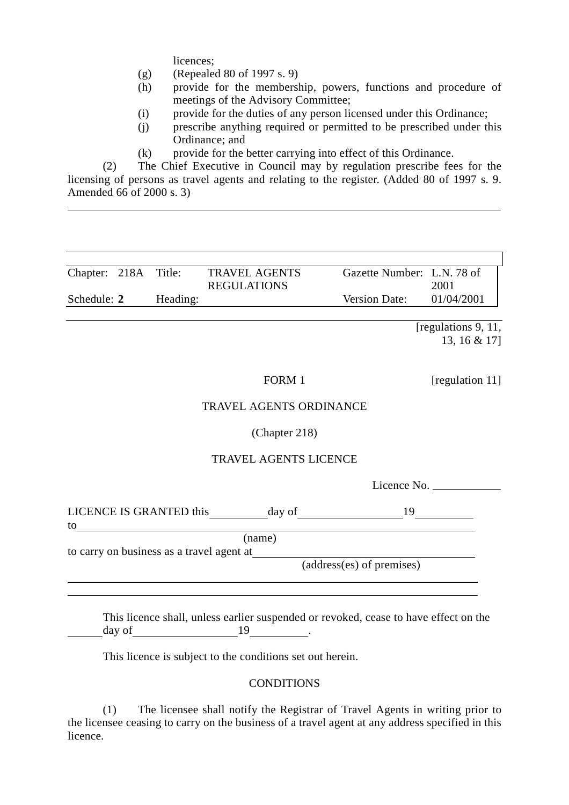licences;

 $\overline{a}$ 

 $\overline{a}$  $\overline{a}$ 

- (g) (Repealed 80 of 1997 s. 9)
- (h) provide for the membership, powers, functions and procedure of meetings of the Advisory Committee;
- (i) provide for the duties of any person licensed under this Ordinance;
- (j) prescribe anything required or permitted to be prescribed under this Ordinance; and
- (k) provide for the better carrying into effect of this Ordinance.

(2) The Chief Executive in Council may by regulation prescribe fees for the licensing of persons as travel agents and relating to the register. (Added 80 of 1997 s. 9. Amended 66 of 2000 s. 3)

| Chapter: 218A Title: |          | Gazette Number: L.N. 78 of<br><b>TRAVEL AGENTS</b> |            |
|----------------------|----------|----------------------------------------------------|------------|
|                      |          | <b>REGULATIONS</b>                                 | 2001       |
| Schedule: 2          | Heading: | Version Date:                                      | 01/04/2001 |

[regulations 9, 11, 13, 16 & 17]

FORM 1 [regulation 11]

#### TRAVEL AGENTS ORDINANCE

#### (Chapter 218)

#### TRAVEL AGENTS LICENCE

Licence No.

| LICENCE IS GRANTED this                     | day of | Q |
|---------------------------------------------|--------|---|
| to                                          |        |   |
|                                             | (name) |   |
| to genus on buginges as a traval against at |        |   |

to carry on business as a travel agent at

(address(es) of premises)

This licence shall, unless earlier suspended or revoked, cease to have effect on the day of 19 and 19 and 19 and 19 and 19 and 19 and 19 and 19 and 19 and 19 and 19 and 19 and 19 and 19 and 19 and 19 and 19 and 19 and 19 and 19 and 19 and 19 and 19 and 19 and 19 and 19 and 19 and 19 and 19 and 19 and 19 an

This licence is subject to the conditions set out herein.

#### **CONDITIONS**

(1) The licensee shall notify the Registrar of Travel Agents in writing prior to the licensee ceasing to carry on the business of a travel agent at any address specified in this licence.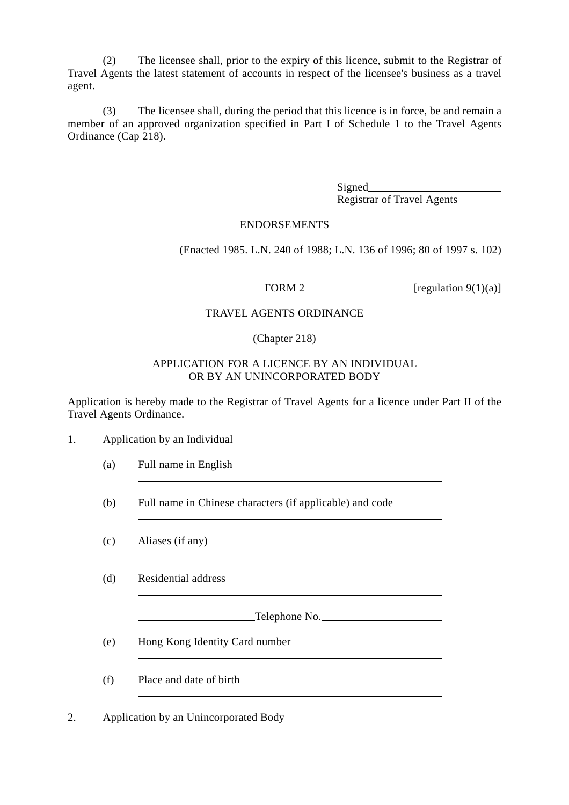(2) The licensee shall, prior to the expiry of this licence, submit to the Registrar of Travel Agents the latest statement of accounts in respect of the licensee's business as a travel agent.

(3) The licensee shall, during the period that this licence is in force, be and remain a member of an approved organization specified in Part I of Schedule 1 to the Travel Agents Ordinance (Cap 218).

> Signed
> <u>Signed</u> Registrar of Travel Agents

#### ENDORSEMENTS

(Enacted 1985. L.N. 240 of 1988; L.N. 136 of 1996; 80 of 1997 s. 102)

FORM 2 [regulation  $9(1)(a)$ ]

#### TRAVEL AGENTS ORDINANCE

#### (Chapter 218)

#### APPLICATION FOR A LICENCE BY AN INDIVIDUAL OR BY AN UNINCORPORATED BODY

Application is hereby made to the Registrar of Travel Agents for a licence under Part II of the Travel Agents Ordinance.

1. Application by an Individual

 $\overline{a}$ 

 $\overline{a}$ 

 $\overline{a}$ 

- (a) Full name in English
- (b) Full name in Chinese characters (if applicable) and code
- (c) Aliases (if any)

(d) Residential address

Telephone No.

(e) Hong Kong Identity Card number

(f) Place and date of birth

2. Application by an Unincorporated Body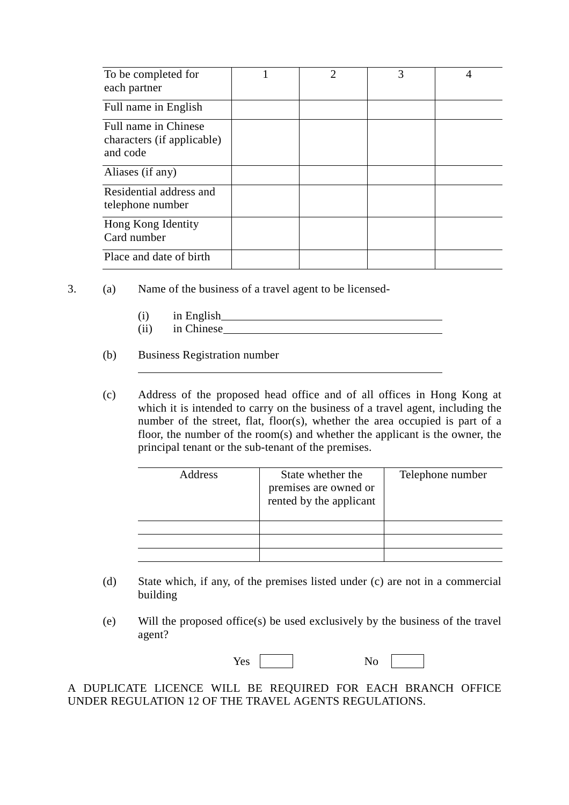| To be completed for<br>each partner                            | $\mathcal{D}_{\mathcal{L}}$ | 3 | 4 |
|----------------------------------------------------------------|-----------------------------|---|---|
| Full name in English                                           |                             |   |   |
| Full name in Chinese<br>characters (if applicable)<br>and code |                             |   |   |
| Aliases (if any)                                               |                             |   |   |
| Residential address and<br>telephone number                    |                             |   |   |
| Hong Kong Identity<br>Card number                              |                             |   |   |
| Place and date of birth                                        |                             |   |   |

- 3. (a) Name of the business of a travel agent to be licensed-
	- (i) in English (ii) in Chinese
	- (b) Business Registration number

l,

(c) Address of the proposed head office and of all offices in Hong Kong at which it is intended to carry on the business of a travel agent, including the number of the street, flat, floor(s), whether the area occupied is part of a floor, the number of the room(s) and whether the applicant is the owner, the principal tenant or the sub-tenant of the premises.

| Address | State whether the<br>premises are owned or<br>rented by the applicant | Telephone number |
|---------|-----------------------------------------------------------------------|------------------|
|         |                                                                       |                  |
|         |                                                                       |                  |
|         |                                                                       |                  |

- (d) State which, if any, of the premises listed under (c) are not in a commercial building
- (e) Will the proposed office(s) be used exclusively by the business of the travel agent?

| Yes |  | ּי<br>$\overline{\phantom{0}}$ |  |
|-----|--|--------------------------------|--|
|-----|--|--------------------------------|--|

A DUPLICATE LICENCE WILL BE REQUIRED FOR EACH BRANCH OFFICE UNDER REGULATION 12 OF THE TRAVEL AGENTS REGULATIONS.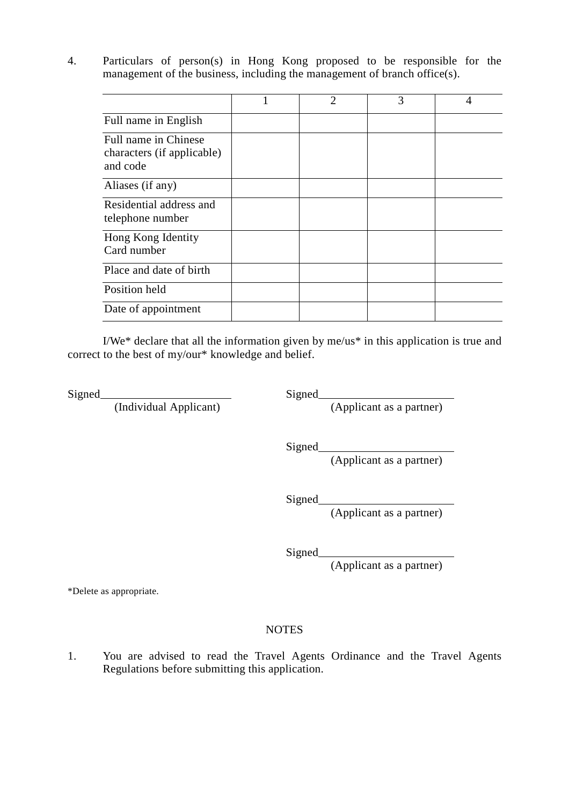4. Particulars of person(s) in Hong Kong proposed to be responsible for the management of the business, including the management of branch office(s).

|                                                                | $\mathcal{D}_{\mathcal{L}}$ | 3 | 4 |
|----------------------------------------------------------------|-----------------------------|---|---|
| Full name in English                                           |                             |   |   |
| Full name in Chinese<br>characters (if applicable)<br>and code |                             |   |   |
| Aliases (if any)                                               |                             |   |   |
| Residential address and<br>telephone number                    |                             |   |   |
| Hong Kong Identity<br>Card number                              |                             |   |   |
| Place and date of birth                                        |                             |   |   |
| Position held                                                  |                             |   |   |
| Date of appointment                                            |                             |   |   |

I/We\* declare that all the information given by me/us\* in this application is true and correct to the best of my/our\* knowledge and belief.

Signed<br>(Individual Applicant)

Signed<br>(Applicant as a partner)

Signed

(Applicant as a partner)

Signed

(Applicant as a partner)

Signed

(Applicant as a partner)

\*Delete as appropriate.

#### **NOTES**

1. You are advised to read the Travel Agents Ordinance and the Travel Agents Regulations before submitting this application.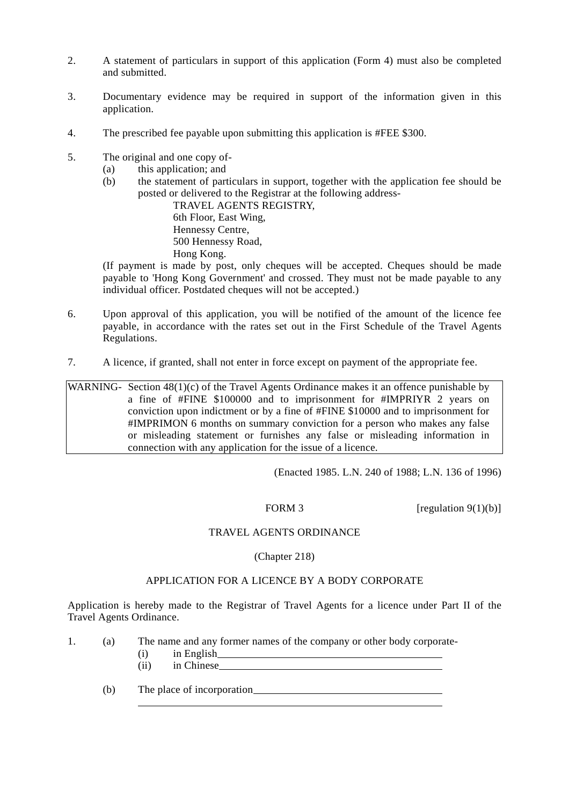- 2. A statement of particulars in support of this application (Form 4) must also be completed and submitted.
- 3. Documentary evidence may be required in support of the information given in this application.
- 4. The prescribed fee payable upon submitting this application is #FEE \$300.
- 5. The original and one copy of-
	- (a) this application; and
	- (b) the statement of particulars in support, together with the application fee should be posted or delivered to the Registrar at the following address-

TRAVEL AGENTS REGISTRY, 6th Floor, East Wing, Hennessy Centre, 500 Hennessy Road, Hong Kong.

(If payment is made by post, only cheques will be accepted. Cheques should be made payable to 'Hong Kong Government' and crossed. They must not be made payable to any individual officer. Postdated cheques will not be accepted.)

- 6. Upon approval of this application, you will be notified of the amount of the licence fee payable, in accordance with the rates set out in the First Schedule of the Travel Agents Regulations.
- 7. A licence, if granted, shall not enter in force except on payment of the appropriate fee.

WARNING- Section 48(1)(c) of the Travel Agents Ordinance makes it an offence punishable by a fine of #FINE \$100000 and to imprisonment for #IMPRIYR 2 years on conviction upon indictment or by a fine of #FINE \$10000 and to imprisonment for #IMPRIMON 6 months on summary conviction for a person who makes any false or misleading statement or furnishes any false or misleading information in connection with any application for the issue of a licence.

(Enacted 1985. L.N. 240 of 1988; L.N. 136 of 1996)

FORM 3 [regulation  $9(1)(b)$ ]

#### TRAVEL AGENTS ORDINANCE

#### (Chapter 218)

#### APPLICATION FOR A LICENCE BY A BODY CORPORATE

Application is hereby made to the Registrar of Travel Agents for a licence under Part II of the Travel Agents Ordinance.

|  | The name and any former names of the company or other body corporate- |
|--|-----------------------------------------------------------------------|
|  | in English                                                            |
|  | in Chinese                                                            |

(b) The place of incorporation

 $\overline{a}$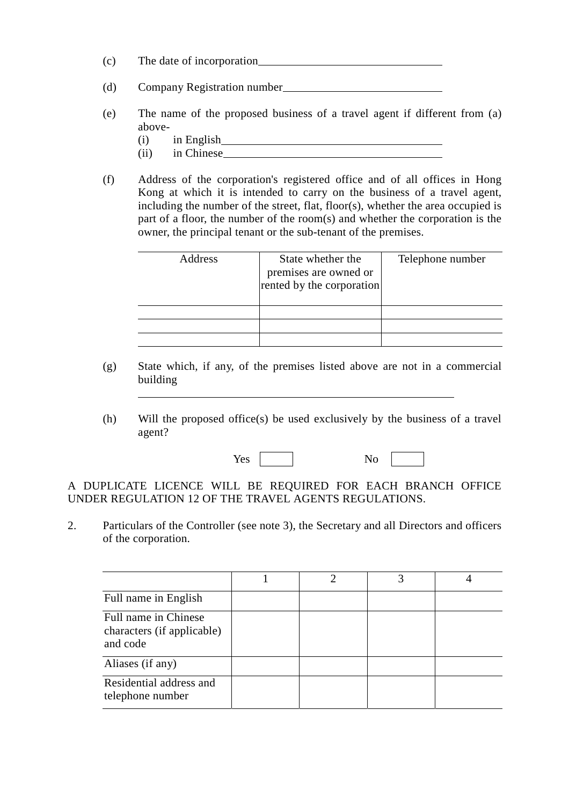- (c) The date of incorporation
- (d) Company Registration number
- (e) The name of the proposed business of a travel agent if different from (a) above-
	- (i) in English

l,

- (ii) in Chinese
- (f) Address of the corporation's registered office and of all offices in Hong Kong at which it is intended to carry on the business of a travel agent, including the number of the street, flat, floor(s), whether the area occupied is part of a floor, the number of the room(s) and whether the corporation is the owner, the principal tenant or the sub-tenant of the premises.

| Address | State whether the<br>premises are owned or<br>rented by the corporation | Telephone number |
|---------|-------------------------------------------------------------------------|------------------|
|         |                                                                         |                  |
|         |                                                                         |                  |
|         |                                                                         |                  |

- (g) State which, if any, of the premises listed above are not in a commercial building
- (h) Will the proposed office(s) be used exclusively by the business of a travel agent?

Yes No

A DUPLICATE LICENCE WILL BE REQUIRED FOR EACH BRANCH OFFICE UNDER REGULATION 12 OF THE TRAVEL AGENTS REGULATIONS.

2. Particulars of the Controller (see note 3), the Secretary and all Directors and officers of the corporation.

| Full name in English                                           |  |  |
|----------------------------------------------------------------|--|--|
| Full name in Chinese<br>characters (if applicable)<br>and code |  |  |
| Aliases (if any)                                               |  |  |
| Residential address and<br>telephone number                    |  |  |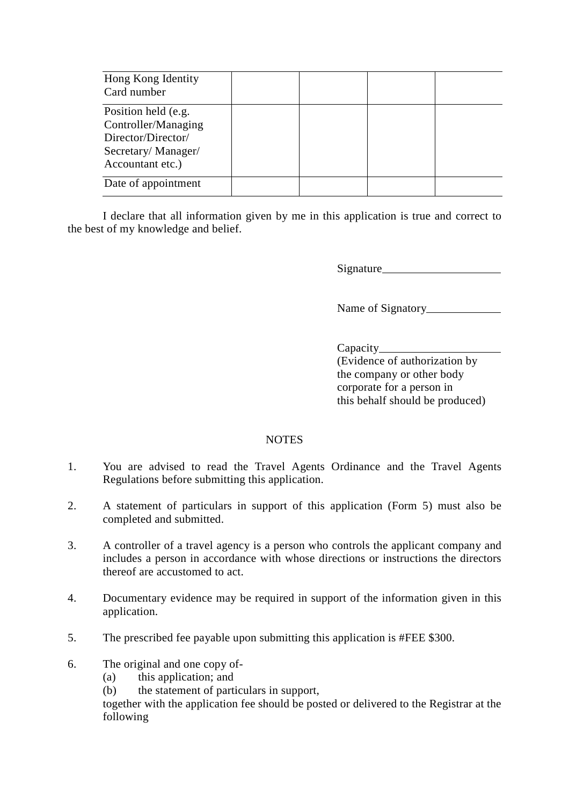| Hong Kong Identity<br>Card number                                                                          |  |  |
|------------------------------------------------------------------------------------------------------------|--|--|
| Position held (e.g.<br>Controller/Managing<br>Director/Director/<br>Secretary/Manager/<br>Accountant etc.) |  |  |
| Date of appointment                                                                                        |  |  |

I declare that all information given by me in this application is true and correct to the best of my knowledge and belief.

Signature

Name of Signatory

#### Capacity

(Evidence of authorization by the company or other body corporate for a person in this behalf should be produced)

#### **NOTES**

- 1. You are advised to read the Travel Agents Ordinance and the Travel Agents Regulations before submitting this application.
- 2. A statement of particulars in support of this application (Form 5) must also be completed and submitted.
- 3. A controller of a travel agency is a person who controls the applicant company and includes a person in accordance with whose directions or instructions the directors thereof are accustomed to act.
- 4. Documentary evidence may be required in support of the information given in this application.
- 5. The prescribed fee payable upon submitting this application is #FEE \$300.
- 6. The original and one copy of-
	- (a) this application; and
	- (b) the statement of particulars in support,

together with the application fee should be posted or delivered to the Registrar at the following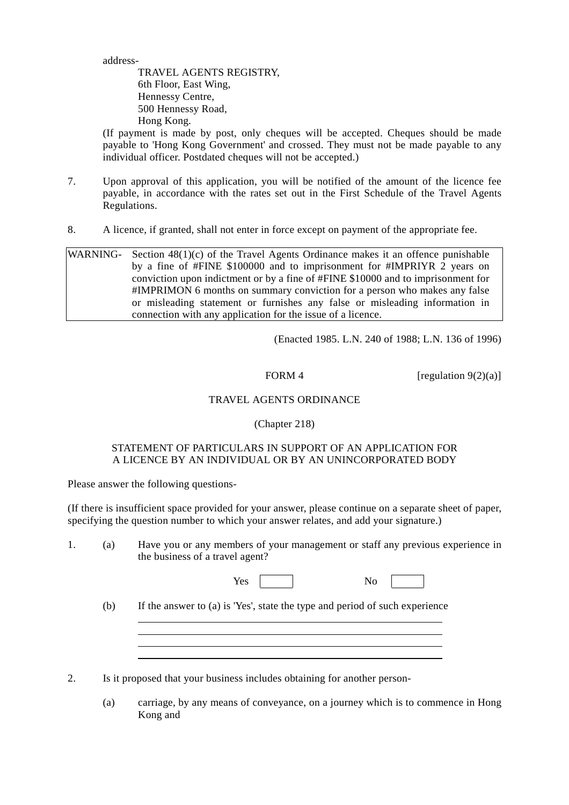address-

TRAVEL AGENTS REGISTRY, 6th Floor, East Wing, Hennessy Centre, 500 Hennessy Road, Hong Kong.

(If payment is made by post, only cheques will be accepted. Cheques should be made payable to 'Hong Kong Government' and crossed. They must not be made payable to any individual officer. Postdated cheques will not be accepted.)

- 7. Upon approval of this application, you will be notified of the amount of the licence fee payable, in accordance with the rates set out in the First Schedule of the Travel Agents Regulations.
- 8. A licence, if granted, shall not enter in force except on payment of the appropriate fee.

WARNING- Section 48(1)(c) of the Travel Agents Ordinance makes it an offence punishable by a fine of #FINE \$100000 and to imprisonment for #IMPRIYR 2 years on conviction upon indictment or by a fine of #FINE \$10000 and to imprisonment for #IMPRIMON 6 months on summary conviction for a person who makes any false or misleading statement or furnishes any false or misleading information in connection with any application for the issue of a licence.

(Enacted 1985. L.N. 240 of 1988; L.N. 136 of 1996)

FORM 4 [regulation  $9(2)(a)$ ]

#### TRAVEL AGENTS ORDINANCE

#### (Chapter 218)

#### STATEMENT OF PARTICULARS IN SUPPORT OF AN APPLICATION FOR A LICENCE BY AN INDIVIDUAL OR BY AN UNINCORPORATED BODY

Please answer the following questions-

 $\overline{a}$  $\overline{a}$ 

(If there is insufficient space provided for your answer, please continue on a separate sheet of paper, specifying the question number to which your answer relates, and add your signature.)

1. (a) Have you or any members of your management or staff any previous experience in the business of a travel agent?

| . .<br>⊥ັບ | טי |
|------------|----|
|------------|----|

(b) If the answer to (a) is 'Yes', state the type and period of such experience

2. Is it proposed that your business includes obtaining for another person-

(a) carriage, by any means of conveyance, on a journey which is to commence in Hong Kong and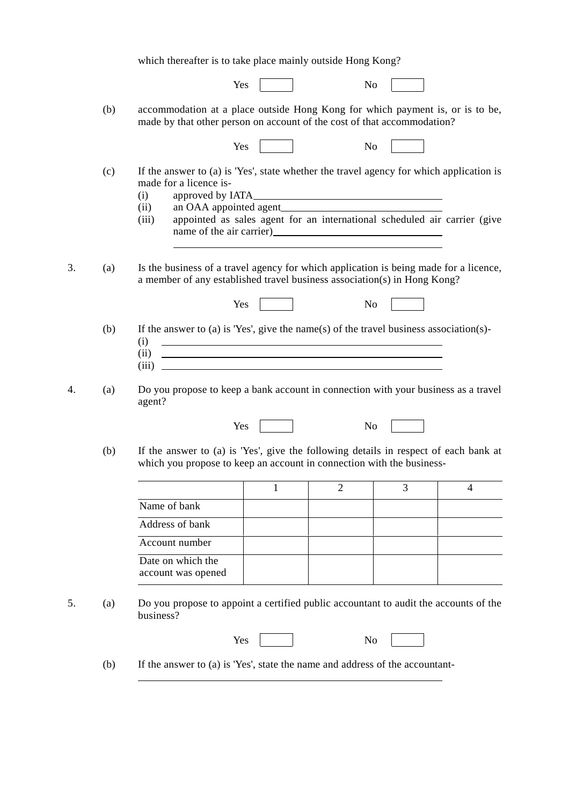which thereafter is to take place mainly outside Hong Kong? Yes No (b) accommodation at a place outside Hong Kong for which payment is, or is to be, made by that other person on account of the cost of that accommodation? Yes No (c) If the answer to (a) is 'Yes', state whether the travel agency for which application is made for a licence is- (i) approved by IATA (ii) an OAA appointed agent (iii) appointed as sales agent for an international scheduled air carrier (give name of the air carrier)  $\overline{a}$ 3. (a) Is the business of a travel agency for which application is being made for a licence, a member of any established travel business association(s) in Hong Kong? Yes No (b) If the answer to (a) is 'Yes', give the name(s) of the travel business association(s)- (i) (ii)  $(iii)$   $\Box$ 4. (a) Do you propose to keep a bank account in connection with your business as a travel agent? Yes No (b) If the answer to (a) is 'Yes', give the following details in respect of each bank at which you propose to keep an account in connection with the business-1 2 3 4 Name of bank Address of bank Account number Date on which the account was opened 5. (a) Do you propose to appoint a certified public accountant to audit the accounts of the business? Yes No (b) If the answer to (a) is 'Yes', state the name and address of the accountant-

 $\overline{a}$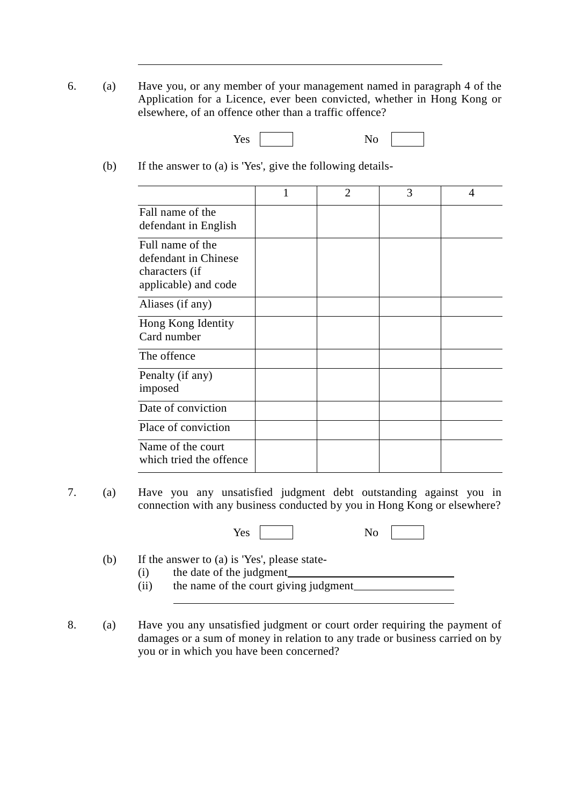- 6. (a) Have you, or any member of your management named in paragraph 4 of the Application for a Licence, ever been convicted, whether in Hong Kong or elsewhere, of an offence other than a traffic offence?
	- Yes No
	- (b) If the answer to (a) is 'Yes', give the following details-

 $\overline{a}$ 

|                                                                                    | $\mathbf{1}$ | $\overline{2}$ | 3 | 4 |
|------------------------------------------------------------------------------------|--------------|----------------|---|---|
| Fall name of the<br>defendant in English                                           |              |                |   |   |
| Full name of the<br>defendant in Chinese<br>characters (if<br>applicable) and code |              |                |   |   |
| Aliases (if any)                                                                   |              |                |   |   |
| Hong Kong Identity<br>Card number                                                  |              |                |   |   |
| The offence                                                                        |              |                |   |   |
| Penalty (if any)<br>imposed                                                        |              |                |   |   |
| Date of conviction                                                                 |              |                |   |   |
| Place of conviction                                                                |              |                |   |   |
| Name of the court<br>which tried the offence                                       |              |                |   |   |

7. (a) Have you any unsatisfied judgment debt outstanding against you in connection with any business conducted by you in Hong Kong or elsewhere?

Yes No

- (b) If the answer to (a) is 'Yes', please state-
	- (i) the date of the judgment
	- (ii) the name of the court giving judgment l,
- 8. (a) Have you any unsatisfied judgment or court order requiring the payment of damages or a sum of money in relation to any trade or business carried on by you or in which you have been concerned?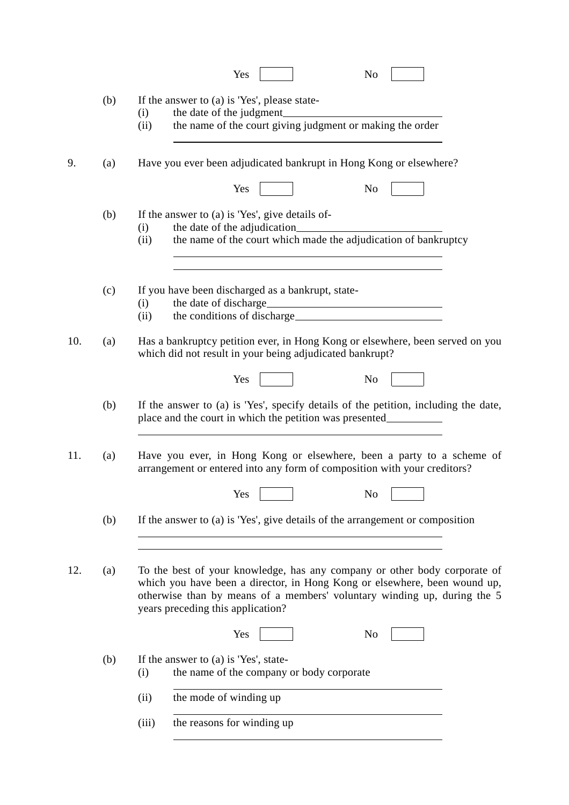|     |     | Yes<br>N <sub>0</sub>                                                                                                                                                                                                                                                   |
|-----|-----|-------------------------------------------------------------------------------------------------------------------------------------------------------------------------------------------------------------------------------------------------------------------------|
|     | (b) | If the answer to (a) is 'Yes', please state-<br>(i)<br>the name of the court giving judgment or making the order<br>(ii)                                                                                                                                                |
| 9.  | (a) | Have you ever been adjudicated bankrupt in Hong Kong or elsewhere?<br>N <sub>o</sub><br>Yes                                                                                                                                                                             |
|     | (b) | If the answer to (a) is 'Yes', give details of-<br>(i)<br>the name of the court which made the adjudication of bankruptcy<br>(ii)                                                                                                                                       |
|     | (c) | If you have been discharged as a bankrupt, state-<br>(i)<br>(ii)                                                                                                                                                                                                        |
| 10. | (a) | Has a bankruptcy petition ever, in Hong Kong or elsewhere, been served on you<br>which did not result in your being adjudicated bankrupt?                                                                                                                               |
|     |     | Yes<br>N <sub>0</sub>                                                                                                                                                                                                                                                   |
|     | (b) | If the answer to (a) is 'Yes', specify details of the petition, including the date,<br>place and the court in which the petition was presented__________________________                                                                                                |
| 11. | (a) | Have you ever, in Hong Kong or elsewhere, been a party to a scheme of<br>arrangement or entered into any form of composition with your creditors?                                                                                                                       |
|     |     | Yes<br>No                                                                                                                                                                                                                                                               |
|     | (b) | If the answer to (a) is 'Yes', give details of the arrangement or composition                                                                                                                                                                                           |
| 12. | (a) | To the best of your knowledge, has any company or other body corporate of<br>which you have been a director, in Hong Kong or elsewhere, been wound up,<br>otherwise than by means of a members' voluntary winding up, during the 5<br>years preceding this application? |
|     |     | Yes<br>No                                                                                                                                                                                                                                                               |
|     | (b) | If the answer to (a) is 'Yes', state-<br>the name of the company or body corporate<br>(i)                                                                                                                                                                               |
|     |     | the mode of winding up<br>(ii)                                                                                                                                                                                                                                          |
|     |     | the reasons for winding up<br>(iii)                                                                                                                                                                                                                                     |
|     |     |                                                                                                                                                                                                                                                                         |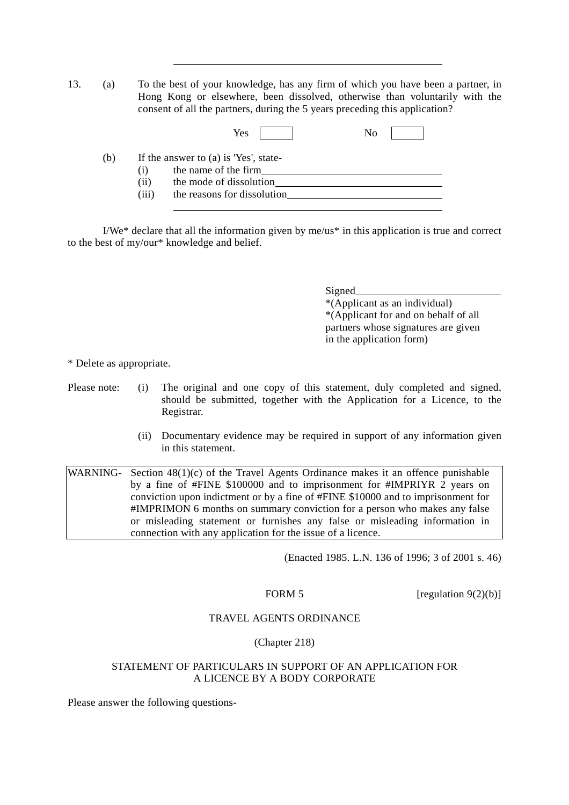13. (a) To the best of your knowledge, has any firm of which you have been a partner, in Hong Kong or elsewhere, been dissolved, otherwise than voluntarily with the consent of all the partners, during the 5 years preceding this application?

|     |       | Yes<br>No                             |  |
|-----|-------|---------------------------------------|--|
| (b) |       | If the answer to (a) is 'Yes', state- |  |
|     | (1)   | the name of the firm                  |  |
|     | (i)   | the mode of dissolution               |  |
|     | (iii) | the reasons for dissolution           |  |

I/We\* declare that all the information given by me/us\* in this application is true and correct to the best of my/our\* knowledge and belief.

> Signed \*(Applicant as an individual) \*(Applicant for and on behalf of all partners whose signatures are given in the application form)

\* Delete as appropriate.

 $\overline{a}$ 

Please note: (i) The original and one copy of this statement, duly completed and signed, should be submitted, together with the Application for a Licence, to the Registrar.

> (ii) Documentary evidence may be required in support of any information given in this statement.

WARNING- Section 48(1)(c) of the Travel Agents Ordinance makes it an offence punishable by a fine of #FINE \$100000 and to imprisonment for #IMPRIYR 2 years on conviction upon indictment or by a fine of #FINE \$10000 and to imprisonment for #IMPRIMON 6 months on summary conviction for a person who makes any false or misleading statement or furnishes any false or misleading information in connection with any application for the issue of a licence.

(Enacted 1985. L.N. 136 of 1996; 3 of 2001 s. 46)

FORM 5 [regulation  $9(2)(b)$ ]

#### TRAVEL AGENTS ORDINANCE

#### (Chapter 218)

#### STATEMENT OF PARTICULARS IN SUPPORT OF AN APPLICATION FOR A LICENCE BY A BODY CORPORATE

Please answer the following questions-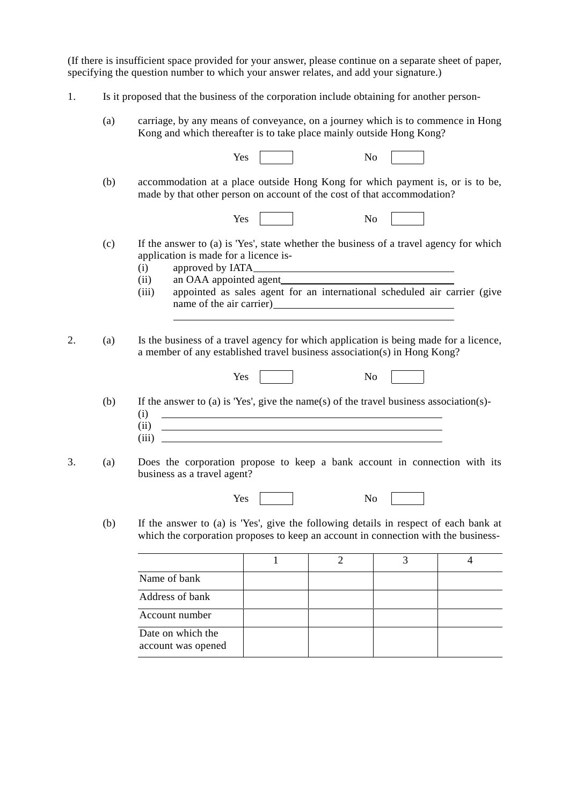(If there is insufficient space provided for your answer, please continue on a separate sheet of paper, specifying the question number to which your answer relates, and add your signature.)

- 1. Is it proposed that the business of the corporation include obtaining for another person-
	- (a) carriage, by any means of conveyance, on a journey which is to commence in Hong Kong and which thereafter is to take place mainly outside Hong Kong?

|    |     | N <sub>o</sub><br>Yes                                                                                                                                                                                                                                                                             |  |  |  |  |  |
|----|-----|---------------------------------------------------------------------------------------------------------------------------------------------------------------------------------------------------------------------------------------------------------------------------------------------------|--|--|--|--|--|
|    | (b) | accommodation at a place outside Hong Kong for which payment is, or is to be,<br>made by that other person on account of the cost of that accommodation?                                                                                                                                          |  |  |  |  |  |
|    |     | N <sub>o</sub><br>Yes                                                                                                                                                                                                                                                                             |  |  |  |  |  |
|    | (c) | If the answer to (a) is 'Yes', state whether the business of a travel agency for which<br>application is made for a licence is-<br>(i)<br>(ii)<br>appointed as sales agent for an international scheduled air carrier (give<br>(iii)                                                              |  |  |  |  |  |
| 2. | (a) | Is the business of a travel agency for which application is being made for a licence,<br>a member of any established travel business association(s) in Hong Kong?<br>Yes<br>N <sub>o</sub>                                                                                                        |  |  |  |  |  |
|    | (b) | If the answer to (a) is 'Yes', give the name(s) of the travel business association(s)-<br>(i)<br><u> 1989 - Johann Barbara, martin amerikan basal dan berasal dan berasal dalam basal dan berasal dan berasal dan</u><br>(ii)<br><u> 1980 - Johann Barnett, fransk politik (f. 1980)</u><br>(iii) |  |  |  |  |  |
| 3. | (a) | Does the corporation propose to keep a bank account in connection with its<br>business as a travel agent?                                                                                                                                                                                         |  |  |  |  |  |
|    |     | Yes<br>N <sub>o</sub>                                                                                                                                                                                                                                                                             |  |  |  |  |  |
|    | (b) | If the answer to (a) is 'Yes', give the following details in respect of each bank at<br>which the corporation proposes to keep an account in connection with the business-                                                                                                                        |  |  |  |  |  |
|    |     | $\mathbf{1}$<br>$\overline{2}$<br>3<br>$\overline{4}$                                                                                                                                                                                                                                             |  |  |  |  |  |
|    |     | Name of bank                                                                                                                                                                                                                                                                                      |  |  |  |  |  |
|    |     | Address of bank                                                                                                                                                                                                                                                                                   |  |  |  |  |  |

Account number Date on which the account was opened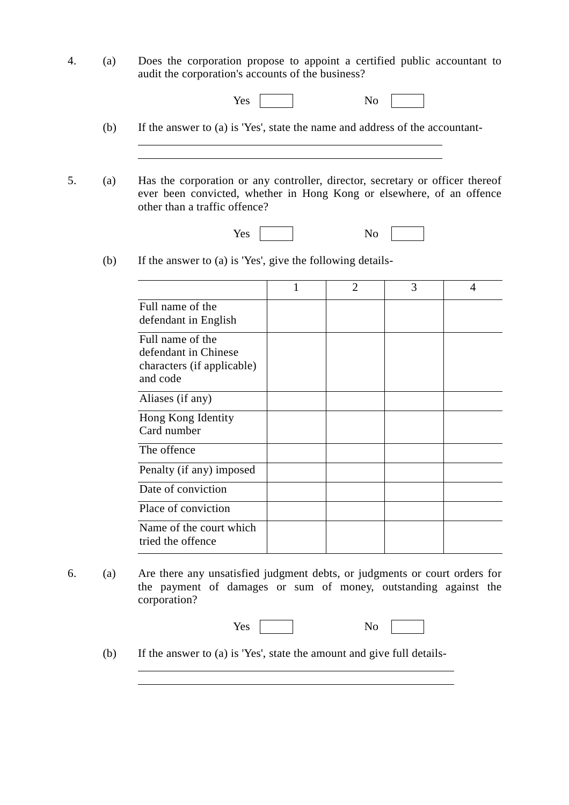4. (a) Does the corporation propose to appoint a certified public accountant to audit the corporation's accounts of the business?

| ٦,<br>. .<br>∽≤<br>ັ |  |
|----------------------|--|
|----------------------|--|

(b) If the answer to (a) is 'Yes', state the name and address of the accountant-

5. (a) Has the corporation or any controller, director, secretary or officer thereof ever been convicted, whether in Hong Kong or elsewhere, of an offence other than a traffic offence?

Yes No

(b) If the answer to (a) is 'Yes', give the following details-

l,

 $\overline{a}$ 

|                                                                                    | 1 | $\overline{2}$ | 3 | 4 |
|------------------------------------------------------------------------------------|---|----------------|---|---|
| Full name of the<br>defendant in English                                           |   |                |   |   |
| Full name of the<br>defendant in Chinese<br>characters (if applicable)<br>and code |   |                |   |   |
| Aliases (if any)                                                                   |   |                |   |   |
| Hong Kong Identity<br>Card number                                                  |   |                |   |   |
| The offence                                                                        |   |                |   |   |
| Penalty (if any) imposed                                                           |   |                |   |   |
| Date of conviction                                                                 |   |                |   |   |
| Place of conviction                                                                |   |                |   |   |
| Name of the court which<br>tried the offence                                       |   |                |   |   |

6. (a) Are there any unsatisfied judgment debts, or judgments or court orders for the payment of damages or sum of money, outstanding against the corporation?

| Yes<br>N<br>v<br><b>*</b> |  |
|---------------------------|--|
|---------------------------|--|

(b) If the answer to (a) is 'Yes', state the amount and give full details-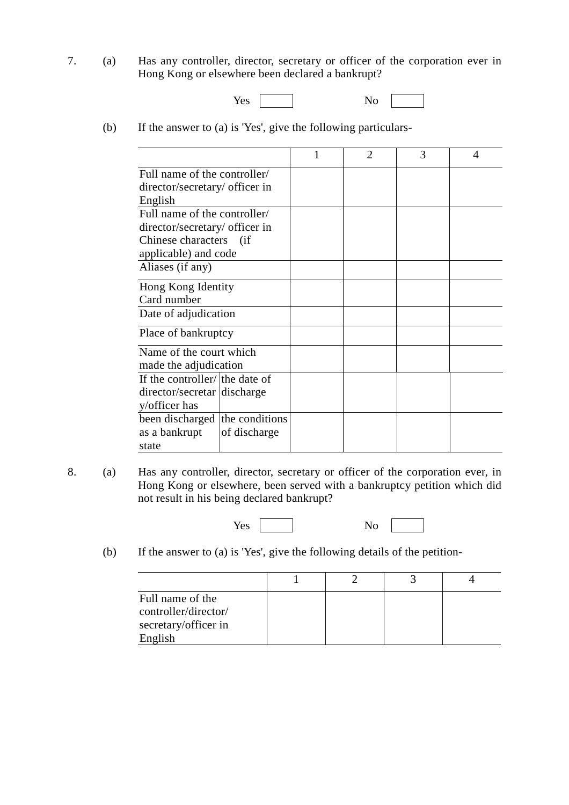7. (a) Has any controller, director, secretary or officer of the corporation ever in Hong Kong or elsewhere been declared a bankrupt?

| - -<br>Yes |  | . .<br>◡ |  |
|------------|--|----------|--|
|------------|--|----------|--|

(b) If the answer to (a) is 'Yes', give the following particulars-

|                                                                                                                  | 1 | $\mathfrak{D}$ | 3 | 4 |
|------------------------------------------------------------------------------------------------------------------|---|----------------|---|---|
| Full name of the controller/<br>director/secretary/ officer in<br>English                                        |   |                |   |   |
| Full name of the controller/<br>director/secretary/ officer in<br>Chinese characters (if<br>applicable) and code |   |                |   |   |
| Aliases (if any)                                                                                                 |   |                |   |   |
| Hong Kong Identity<br>Card number                                                                                |   |                |   |   |
| Date of adjudication                                                                                             |   |                |   |   |
| Place of bankruptcy                                                                                              |   |                |   |   |
| Name of the court which<br>made the adjudication                                                                 |   |                |   |   |
| If the controller/ the date of<br>director/secretar discharge<br>y/officer has                                   |   |                |   |   |
| the conditions<br>been discharged<br>as a bankrupt<br>of discharge<br>state                                      |   |                |   |   |

8. (a) Has any controller, director, secretary or officer of the corporation ever, in Hong Kong or elsewhere, been served with a bankruptcy petition which did not result in his being declared bankrupt?

Yes No

(b) If the answer to (a) is 'Yes', give the following details of the petition-

| Full name of the     |  |  |
|----------------------|--|--|
| controller/director/ |  |  |
| secretary/officer in |  |  |
| English              |  |  |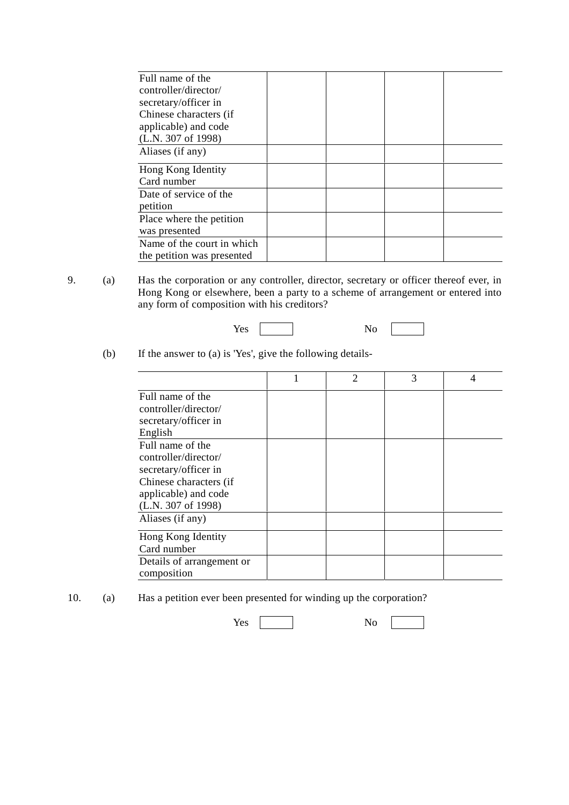| Full name of the           |  |  |
|----------------------------|--|--|
| controller/director/       |  |  |
| secretary/officer in       |  |  |
| Chinese characters (if     |  |  |
| applicable) and code       |  |  |
| (L.N. 307 of 1998)         |  |  |
| Aliases (if any)           |  |  |
| Hong Kong Identity         |  |  |
| Card number                |  |  |
| Date of service of the     |  |  |
| petition                   |  |  |
| Place where the petition   |  |  |
| was presented              |  |  |
| Name of the court in which |  |  |
| the petition was presented |  |  |

9. (a) Has the corporation or any controller, director, secretary or officer thereof ever, in Hong Kong or elsewhere, been a party to a scheme of arrangement or entered into any form of composition with his creditors?

| No. |  |
|-----|--|
|     |  |

(b) If the answer to (a) is 'Yes', give the following details-

|                           | $\overline{2}$ | 3 | 4 |
|---------------------------|----------------|---|---|
| Full name of the          |                |   |   |
| controller/director/      |                |   |   |
| secretary/officer in      |                |   |   |
| English                   |                |   |   |
| Full name of the          |                |   |   |
| controller/director/      |                |   |   |
| secretary/officer in      |                |   |   |
| Chinese characters (if    |                |   |   |
| applicable) and code      |                |   |   |
| (L.N. 307 of 1998)        |                |   |   |
| Aliases (if any)          |                |   |   |
| Hong Kong Identity        |                |   |   |
| Card number               |                |   |   |
| Details of arrangement or |                |   |   |
| composition               |                |   |   |

10. (a) Has a petition ever been presented for winding up the corporation?

Yes No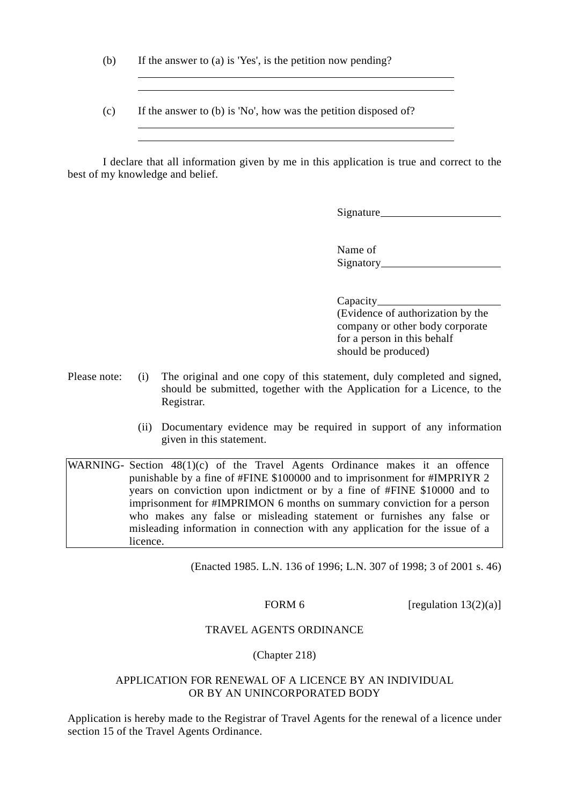(b) If the answer to (a) is 'Yes', is the petition now pending?

 $\overline{a}$ 

 $\overline{a}$  $\overline{a}$ 

(c) If the answer to (b) is 'No', how was the petition disposed of?

I declare that all information given by me in this application is true and correct to the best of my knowledge and belief.

Signature

Name of Signatory

#### Capacity

(Evidence of authorization by the company or other body corporate for a person in this behalf should be produced)

- Please note: (i) The original and one copy of this statement, duly completed and signed, should be submitted, together with the Application for a Licence, to the Registrar.
	- (ii) Documentary evidence may be required in support of any information given in this statement.

WARNING- Section 48(1)(c) of the Travel Agents Ordinance makes it an offence punishable by a fine of #FINE \$100000 and to imprisonment for #IMPRIYR 2 years on conviction upon indictment or by a fine of #FINE \$10000 and to imprisonment for #IMPRIMON 6 months on summary conviction for a person who makes any false or misleading statement or furnishes any false or misleading information in connection with any application for the issue of a licence.

(Enacted 1985. L.N. 136 of 1996; L.N. 307 of 1998; 3 of 2001 s. 46)

FORM 6 [regulation  $13(2)(a)$ ]

#### TRAVEL AGENTS ORDINANCE

(Chapter 218)

#### APPLICATION FOR RENEWAL OF A LICENCE BY AN INDIVIDUAL OR BY AN UNINCORPORATED BODY

Application is hereby made to the Registrar of Travel Agents for the renewal of a licence under section 15 of the Travel Agents Ordinance.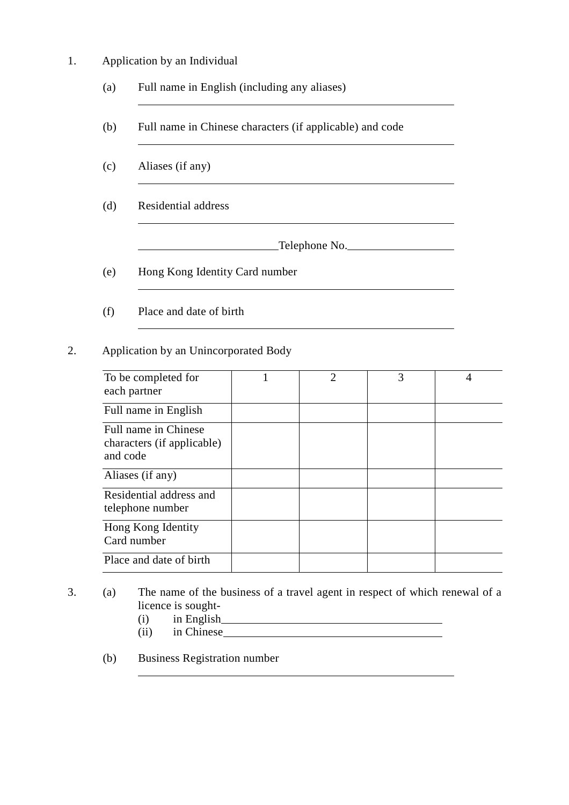1. Application by an Individual

l,

l

l,

l,

l,

 $\overline{a}$ 

- (a) Full name in English (including any aliases)
- (b) Full name in Chinese characters (if applicable) and code
- (c) Aliases (if any)
- (d) Residential address

Telephone No.

- (e) Hong Kong Identity Card number
- (f) Place and date of birth

#### 2. Application by an Unincorporated Body

| To be completed for<br>each partner                            | $\mathcal{D}_{\mathcal{L}}$ | 3 |  |
|----------------------------------------------------------------|-----------------------------|---|--|
| Full name in English                                           |                             |   |  |
| Full name in Chinese<br>characters (if applicable)<br>and code |                             |   |  |
| Aliases (if any)                                               |                             |   |  |
| Residential address and<br>telephone number                    |                             |   |  |
| Hong Kong Identity<br>Card number                              |                             |   |  |
| Place and date of birth                                        |                             |   |  |

- 3. (a) The name of the business of a travel agent in respect of which renewal of a licence is sought-
	- (i) in English
	- (ii) in Chinese

l,

(b) Business Registration number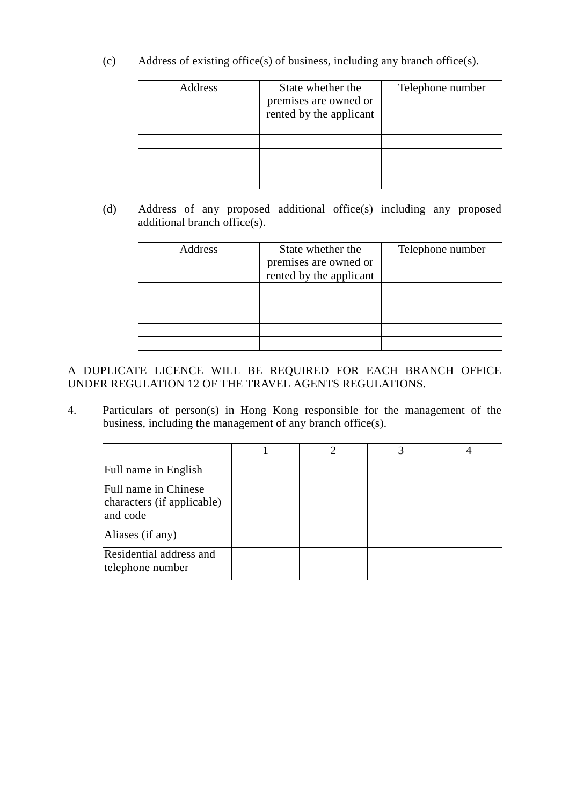(c) Address of existing office(s) of business, including any branch office(s).

| Address | State whether the<br>premises are owned or<br>rented by the applicant | Telephone number |
|---------|-----------------------------------------------------------------------|------------------|
|         |                                                                       |                  |
|         |                                                                       |                  |
|         |                                                                       |                  |
|         |                                                                       |                  |
|         |                                                                       |                  |

(d) Address of any proposed additional office(s) including any proposed additional branch office(s).

| State whether the       | Telephone number      |
|-------------------------|-----------------------|
|                         |                       |
| rented by the applicant |                       |
|                         |                       |
|                         |                       |
|                         |                       |
|                         |                       |
|                         |                       |
|                         | premises are owned or |

A DUPLICATE LICENCE WILL BE REQUIRED FOR EACH BRANCH OFFICE UNDER REGULATION 12 OF THE TRAVEL AGENTS REGULATIONS.

4. Particulars of person(s) in Hong Kong responsible for the management of the business, including the management of any branch office(s).

| Full name in English                                           |  |  |
|----------------------------------------------------------------|--|--|
| Full name in Chinese<br>characters (if applicable)<br>and code |  |  |
| Aliases (if any)                                               |  |  |
| Residential address and<br>telephone number                    |  |  |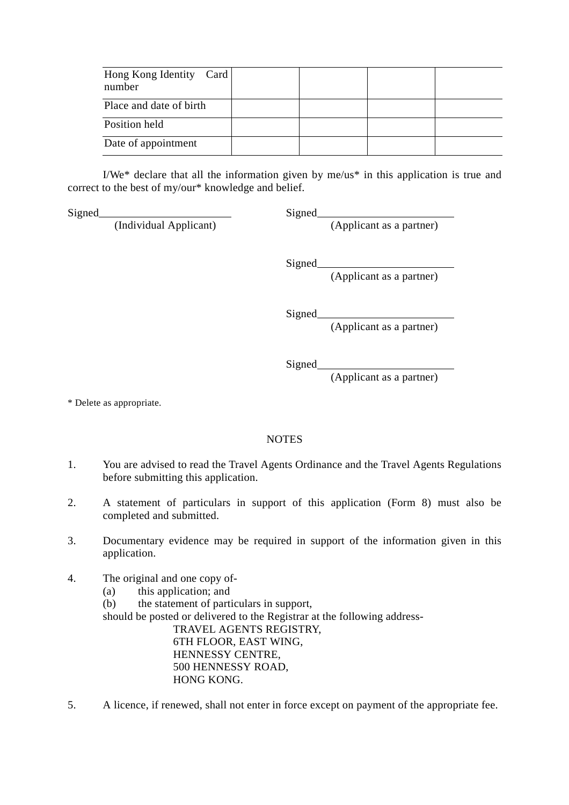| Hong Kong Identity Card<br>number |  |  |
|-----------------------------------|--|--|
| Place and date of birth           |  |  |
| Position held                     |  |  |
| Date of appointment               |  |  |

I/We\* declare that all the information given by me/us\* in this application is true and correct to the best of my/our\* knowledge and belief.

Signed Signed Signed

(Individual Applicant) (Applicant as a partner)

Signed\_

(Applicant as a partner)

Signed\_

(Applicant as a partner)

Signed

(Applicant as a partner)

\* Delete as appropriate.

#### **NOTES**

- 1. You are advised to read the Travel Agents Ordinance and the Travel Agents Regulations before submitting this application.
- 2. A statement of particulars in support of this application (Form 8) must also be completed and submitted.
- 3. Documentary evidence may be required in support of the information given in this application.
- 4. The original and one copy of-
	- (a) this application; and
	- (b) the statement of particulars in support,
	- should be posted or delivered to the Registrar at the following address-

TRAVEL AGENTS REGISTRY, 6TH FLOOR, EAST WING, HENNESSY CENTRE, 500 HENNESSY ROAD, HONG KONG.

5. A licence, if renewed, shall not enter in force except on payment of the appropriate fee.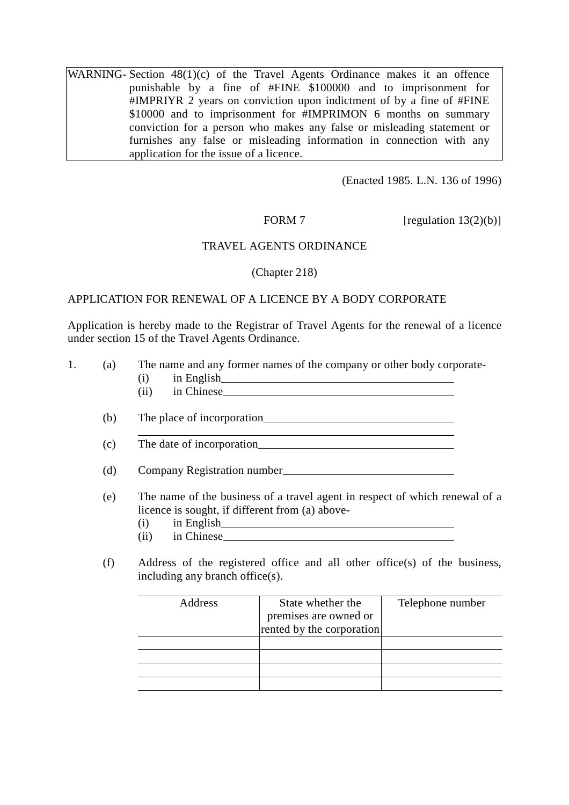WARNING- Section 48(1)(c) of the Travel Agents Ordinance makes it an offence punishable by a fine of #FINE \$100000 and to imprisonment for #IMPRIYR 2 years on conviction upon indictment of by a fine of #FINE \$10000 and to imprisonment for #IMPRIMON 6 months on summary conviction for a person who makes any false or misleading statement or furnishes any false or misleading information in connection with any application for the issue of a licence.

(Enacted 1985. L.N. 136 of 1996)

FORM 7 [regulation  $13(2)(b)$ ]

#### TRAVEL AGENTS ORDINANCE

(Chapter 218)

#### APPLICATION FOR RENEWAL OF A LICENCE BY A BODY CORPORATE

Application is hereby made to the Registrar of Travel Agents for the renewal of a licence under section 15 of the Travel Agents Ordinance.

| 1. | (a) | The name and any former names of the company or other body corporate-<br>(i)                                                                  |                                                                                                                                                                                                                                |                  |
|----|-----|-----------------------------------------------------------------------------------------------------------------------------------------------|--------------------------------------------------------------------------------------------------------------------------------------------------------------------------------------------------------------------------------|------------------|
|    |     | (ii)                                                                                                                                          | in Chinese has a state of the state of the state of the state of the state of the state of the state of the state of the state of the state of the state of the state of the state of the state of the state of the state of t |                  |
|    | (b) |                                                                                                                                               |                                                                                                                                                                                                                                |                  |
|    | (c) |                                                                                                                                               |                                                                                                                                                                                                                                |                  |
|    | (d) |                                                                                                                                               |                                                                                                                                                                                                                                |                  |
|    | (e) | The name of the business of a travel agent in respect of which renewal of a<br>licence is sought, if different from (a) above-<br>(i)<br>(ii) |                                                                                                                                                                                                                                |                  |
|    | (f) | Address of the registered office and all other office(s) of the business,<br>including any branch office(s).                                  |                                                                                                                                                                                                                                |                  |
|    |     | Address                                                                                                                                       | State whether the<br>premises are owned or<br>rented by the corporation                                                                                                                                                        | Telephone number |
|    |     |                                                                                                                                               |                                                                                                                                                                                                                                |                  |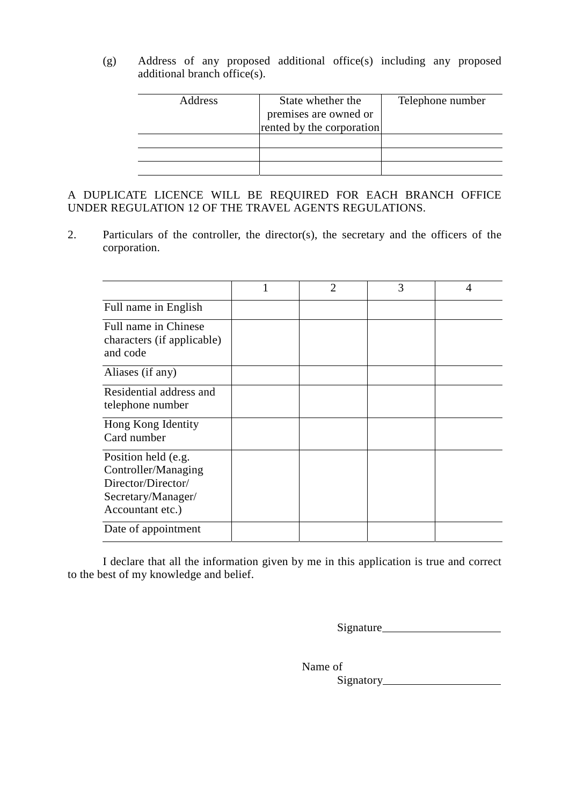(g) Address of any proposed additional office(s) including any proposed additional branch office(s).

| Address | State whether the         | Telephone number |
|---------|---------------------------|------------------|
|         | premises are owned or     |                  |
|         | rented by the corporation |                  |
|         |                           |                  |
|         |                           |                  |
|         |                           |                  |

A DUPLICATE LICENCE WILL BE REQUIRED FOR EACH BRANCH OFFICE UNDER REGULATION 12 OF THE TRAVEL AGENTS REGULATIONS.

2. Particulars of the controller, the director(s), the secretary and the officers of the corporation.

|                                                                                                            | 1 | $\overline{2}$ | 3 | 4 |
|------------------------------------------------------------------------------------------------------------|---|----------------|---|---|
| Full name in English                                                                                       |   |                |   |   |
| Full name in Chinese<br>characters (if applicable)<br>and code                                             |   |                |   |   |
| Aliases (if any)                                                                                           |   |                |   |   |
| Residential address and<br>telephone number                                                                |   |                |   |   |
| Hong Kong Identity<br>Card number                                                                          |   |                |   |   |
| Position held (e.g.<br>Controller/Managing<br>Director/Director/<br>Secretary/Manager/<br>Accountant etc.) |   |                |   |   |
| Date of appointment                                                                                        |   |                |   |   |

I declare that all the information given by me in this application is true and correct to the best of my knowledge and belief.

Signature

Name of

Signatory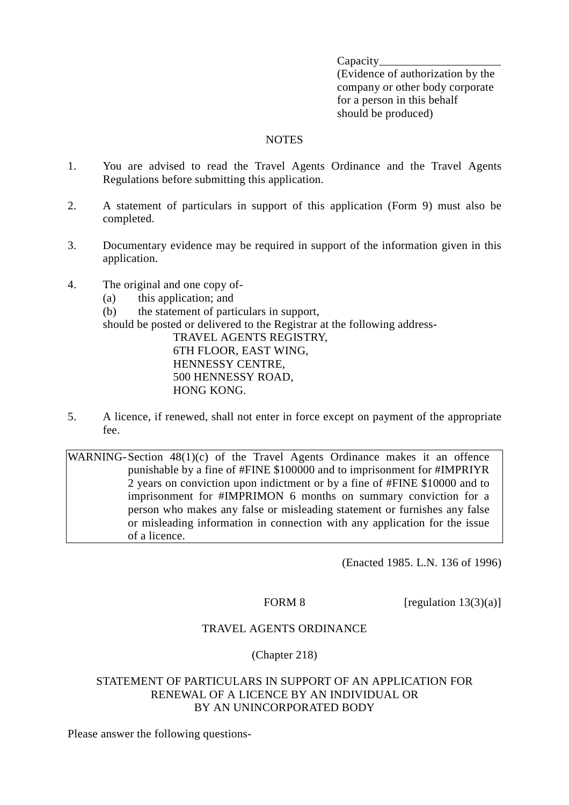Capacity

(Evidence of authorization by the company or other body corporate for a person in this behalf should be produced)

#### NOTES

- 1. You are advised to read the Travel Agents Ordinance and the Travel Agents Regulations before submitting this application.
- 2. A statement of particulars in support of this application (Form 9) must also be completed.
- 3. Documentary evidence may be required in support of the information given in this application.
- 4. The original and one copy of-
	- (a) this application; and
	- (b) the statement of particulars in support,

should be posted or delivered to the Registrar at the following address-

TRAVEL AGENTS REGISTRY, 6TH FLOOR, EAST WING, HENNESSY CENTRE, 500 HENNESSY ROAD, HONG KONG.

5. A licence, if renewed, shall not enter in force except on payment of the appropriate fee.

WARNING-Section  $48(1)(c)$  of the Travel Agents Ordinance makes it an offence punishable by a fine of #FINE \$100000 and to imprisonment for #IMPRIYR 2 years on conviction upon indictment or by a fine of #FINE \$10000 and to imprisonment for #IMPRIMON 6 months on summary conviction for a person who makes any false or misleading statement or furnishes any false or misleading information in connection with any application for the issue of a licence.

(Enacted 1985. L.N. 136 of 1996)

FORM 8 [regulation  $13(3)(a)$ ]

#### TRAVEL AGENTS ORDINANCE

#### (Chapter 218)

#### STATEMENT OF PARTICULARS IN SUPPORT OF AN APPLICATION FOR RENEWAL OF A LICENCE BY AN INDIVIDUAL OR BY AN UNINCORPORATED BODY

Please answer the following questions-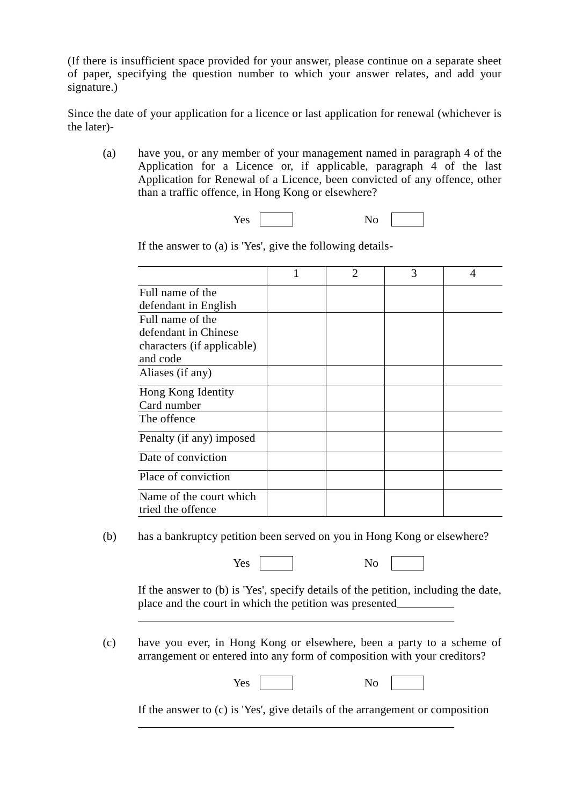(If there is insufficient space provided for your answer, please continue on a separate sheet of paper, specifying the question number to which your answer relates, and add your signature.)

Since the date of your application for a licence or last application for renewal (whichever is the later)-

(a) have you, or any member of your management named in paragraph 4 of the Application for a Licence or, if applicable, paragraph 4 of the last Application for Renewal of a Licence, been convicted of any offence, other than a traffic offence, in Hong Kong or elsewhere?



1 2 3 4 Full name of the defendant in English Full name of the defendant in Chinese characters (if applicable) and code Aliases (if any) Hong Kong Identity Card number The offence Penalty (if any) imposed Date of conviction Place of conviction Name of the court which tried the offence

If the answer to (a) is 'Yes', give the following details-

(b) has a bankruptcy petition been served on you in Hong Kong or elsewhere?

Yes No

 $\overline{a}$ 

 $\overline{a}$ 

If the answer to (b) is 'Yes', specify details of the petition, including the date, place and the court in which the petition was presented

(c) have you ever, in Hong Kong or elsewhere, been a party to a scheme of arrangement or entered into any form of composition with your creditors?

Yes No

If the answer to (c) is 'Yes', give details of the arrangement or composition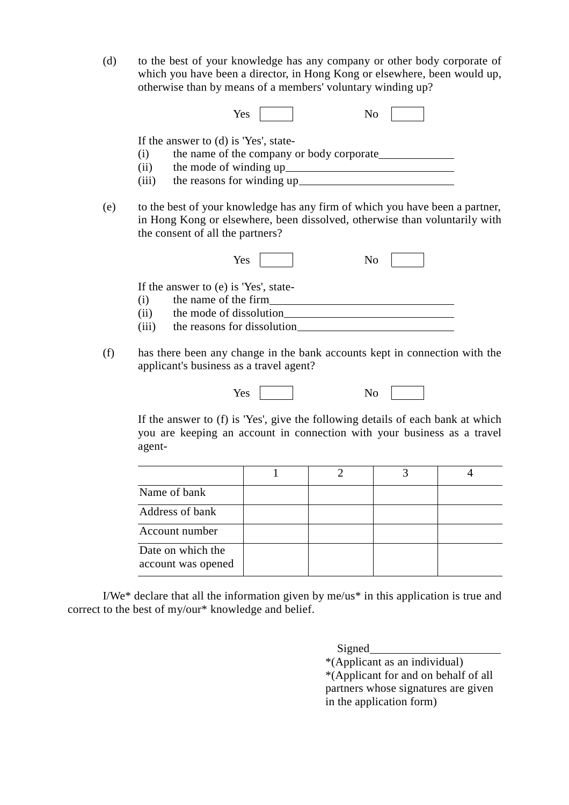(d) to the best of your knowledge has any company or other body corporate of which you have been a director, in Hong Kong or elsewhere, been would up, otherwise than by means of a members' voluntary winding up?

|     | Yes<br>N <sub>0</sub>                                                                                                                                                                                                   |
|-----|-------------------------------------------------------------------------------------------------------------------------------------------------------------------------------------------------------------------------|
|     | If the answer to (d) is 'Yes', state-                                                                                                                                                                                   |
|     | (i)                                                                                                                                                                                                                     |
|     |                                                                                                                                                                                                                         |
|     | (iii)                                                                                                                                                                                                                   |
| (e) | to the best of your knowledge has any firm of which you have been a partner,<br>in Hong Kong or elsewhere, been dissolved, otherwise than voluntarily with<br>the consent of all the partners?<br>Yes<br>N <sub>0</sub> |
|     | If the answer to (e) is 'Yes', state-<br>(i)                                                                                                                                                                            |
|     | (ii) the mode of dissolution                                                                                                                                                                                            |
|     | (iii)                                                                                                                                                                                                                   |
| (f) | has there been any change in the bank accounts kept in connection with the<br>applicant's business as a travel agent?                                                                                                   |

| Yes |                           |  |
|-----|---------------------------|--|
|     | $\ddot{\phantom{0}}$<br>- |  |

If the answer to (f) is 'Yes', give the following details of each bank at which you are keeping an account in connection with your business as a travel agent-

| Name of bank                            |  |  |
|-----------------------------------------|--|--|
| Address of bank                         |  |  |
| Account number                          |  |  |
| Date on which the<br>account was opened |  |  |

I/We\* declare that all the information given by me/us\* in this application is true and correct to the best of my/our\* knowledge and belief.

Signed

\*(Applicant as an individual) \*(Applicant for and on behalf of all partners whose signatures are given in the application form)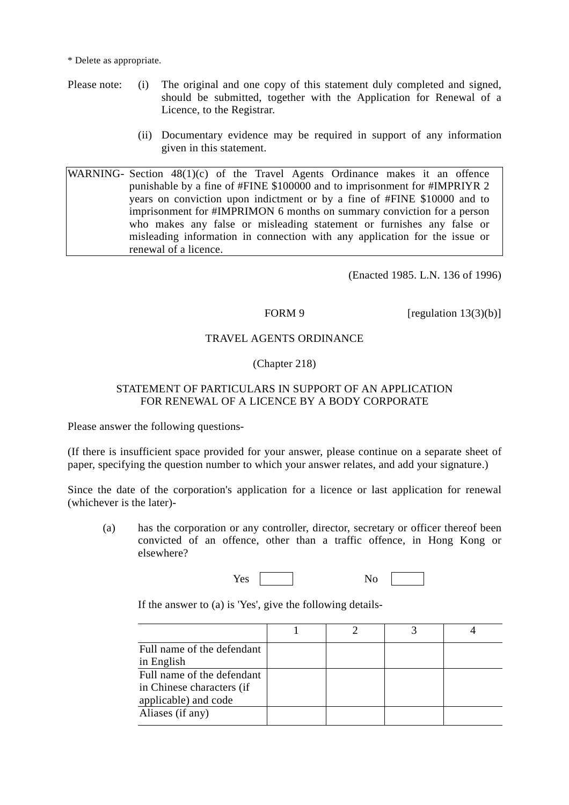\* Delete as appropriate.

- Please note: (i) The original and one copy of this statement duly completed and signed, should be submitted, together with the Application for Renewal of a Licence, to the Registrar.
	- (ii) Documentary evidence may be required in support of any information given in this statement.

WARNING- Section 48(1)(c) of the Travel Agents Ordinance makes it an offence punishable by a fine of #FINE \$100000 and to imprisonment for #IMPRIYR 2 years on conviction upon indictment or by a fine of #FINE \$10000 and to imprisonment for #IMPRIMON 6 months on summary conviction for a person who makes any false or misleading statement or furnishes any false or misleading information in connection with any application for the issue or renewal of a licence.

(Enacted 1985. L.N. 136 of 1996)

FORM 9 [regulation  $13(3)(b)$ ]

#### TRAVEL AGENTS ORDINANCE

#### (Chapter 218)

#### STATEMENT OF PARTICULARS IN SUPPORT OF AN APPLICATION FOR RENEWAL OF A LICENCE BY A BODY CORPORATE

Please answer the following questions-

(If there is insufficient space provided for your answer, please continue on a separate sheet of paper, specifying the question number to which your answer relates, and add your signature.)

Since the date of the corporation's application for a licence or last application for renewal (whichever is the later)-

(a) has the corporation or any controller, director, secretary or officer thereof been convicted of an offence, other than a traffic offence, in Hong Kong or elsewhere?

| Yes<br>No |
|-----------|
|-----------|

If the answer to (a) is 'Yes', give the following details-

| Full name of the defendant |  |  |
|----------------------------|--|--|
| in English                 |  |  |
| Full name of the defendant |  |  |
| in Chinese characters (if  |  |  |
| applicable) and code       |  |  |
| Aliases (if any)           |  |  |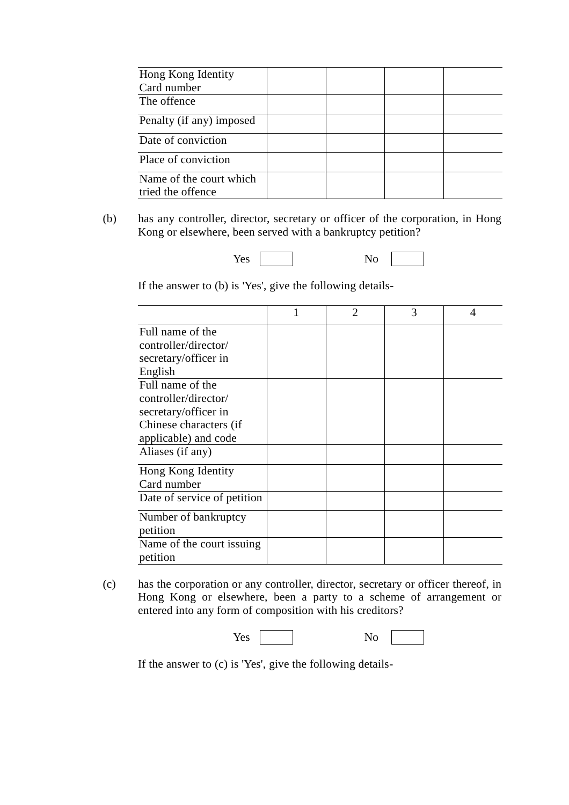| Hong Kong Identity<br>Card number            |  |  |
|----------------------------------------------|--|--|
| The offence                                  |  |  |
| Penalty (if any) imposed                     |  |  |
| Date of conviction                           |  |  |
| Place of conviction                          |  |  |
| Name of the court which<br>tried the offence |  |  |

(b) has any controller, director, secretary or officer of the corporation, in Hong Kong or elsewhere, been served with a bankruptcy petition?

If the answer to (b) is 'Yes', give the following details-

|                             | $\overline{2}$ | 3 | 4 |
|-----------------------------|----------------|---|---|
| Full name of the            |                |   |   |
| controller/director/        |                |   |   |
| secretary/officer in        |                |   |   |
| English                     |                |   |   |
| Full name of the            |                |   |   |
| controller/director/        |                |   |   |
| secretary/officer in        |                |   |   |
| Chinese characters (if      |                |   |   |
| applicable) and code        |                |   |   |
| Aliases (if any)            |                |   |   |
| Hong Kong Identity          |                |   |   |
| Card number                 |                |   |   |
| Date of service of petition |                |   |   |
| Number of bankruptcy        |                |   |   |
| petition                    |                |   |   |
| Name of the court issuing   |                |   |   |
| petition                    |                |   |   |

(c) has the corporation or any controller, director, secretary or officer thereof, in Hong Kong or elsewhere, been a party to a scheme of arrangement or entered into any form of composition with his creditors?

| $\mathbf{v}$<br>1 C.S | - |
|-----------------------|---|
|-----------------------|---|

If the answer to (c) is 'Yes', give the following details-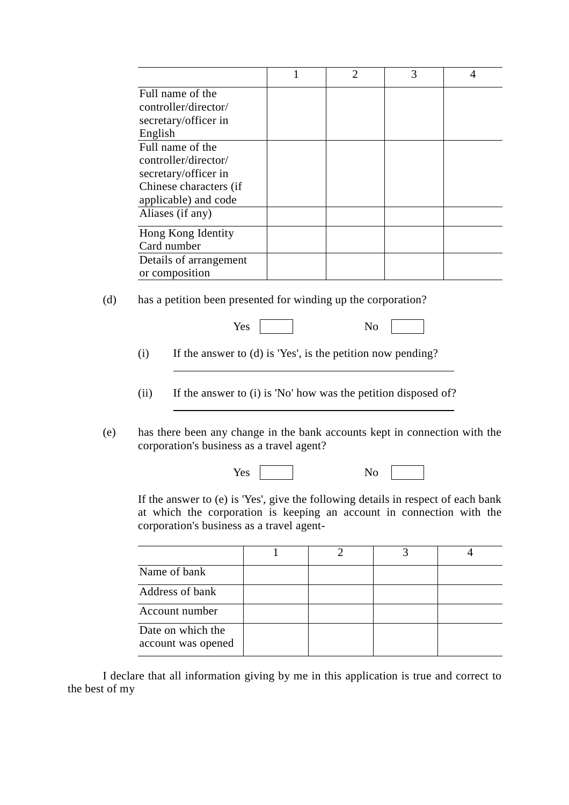|                        | $\mathcal{D}_{\mathcal{D}}$ | 3 |  |
|------------------------|-----------------------------|---|--|
| Full name of the       |                             |   |  |
| controller/director/   |                             |   |  |
| secretary/officer in   |                             |   |  |
| English                |                             |   |  |
| Full name of the       |                             |   |  |
| controller/director/   |                             |   |  |
| secretary/officer in   |                             |   |  |
| Chinese characters (if |                             |   |  |
| applicable) and code   |                             |   |  |
| Aliases (if any)       |                             |   |  |
| Hong Kong Identity     |                             |   |  |
| Card number            |                             |   |  |
| Details of arrangement |                             |   |  |
| or composition         |                             |   |  |

(d) has a petition been presented for winding up the corporation?

l,

l

| Yes |  |
|-----|--|
|-----|--|

(i) If the answer to (d) is 'Yes', is the petition now pending?

(ii) If the answer to (i) is 'No' how was the petition disposed of?

(e) has there been any change in the bank accounts kept in connection with the corporation's business as a travel agent?

| Yes<br>No |
|-----------|
|-----------|

If the answer to (e) is 'Yes', give the following details in respect of each bank at which the corporation is keeping an account in connection with the corporation's business as a travel agent-

| Name of bank                            |  |  |
|-----------------------------------------|--|--|
| Address of bank                         |  |  |
| Account number                          |  |  |
| Date on which the<br>account was opened |  |  |

I declare that all information giving by me in this application is true and correct to the best of my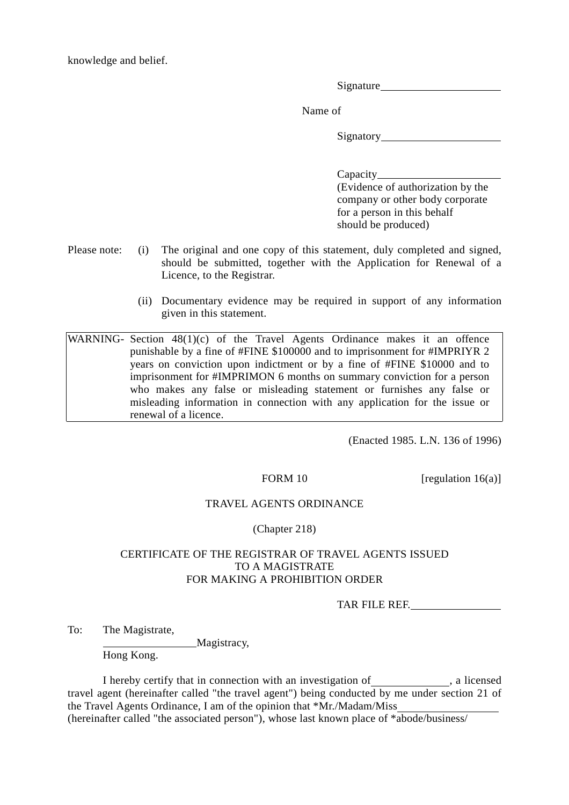knowledge and belief.

Signature

Name of

Signatory

Capacity **Capacity** (Evidence of authorization by the company or other body corporate for a person in this behalf should be produced)

- Please note: (i) The original and one copy of this statement, duly completed and signed, should be submitted, together with the Application for Renewal of a Licence, to the Registrar.
	- (ii) Documentary evidence may be required in support of any information given in this statement.

WARNING- Section 48(1)(c) of the Travel Agents Ordinance makes it an offence punishable by a fine of #FINE \$100000 and to imprisonment for #IMPRIYR 2 years on conviction upon indictment or by a fine of #FINE \$10000 and to imprisonment for #IMPRIMON 6 months on summary conviction for a person who makes any false or misleading statement or furnishes any false or misleading information in connection with any application for the issue or renewal of a licence.

(Enacted 1985. L.N. 136 of 1996)

FORM 10  $[regularized]$  [regulation 16(a)]

#### TRAVEL AGENTS ORDINANCE

#### (Chapter 218)

#### CERTIFICATE OF THE REGISTRAR OF TRAVEL AGENTS ISSUED TO A MAGISTRATE FOR MAKING A PROHIBITION ORDER

TAR FILE REF.

To: The Magistrate,

Magistracy,

Hong Kong.

I hereby certify that in connection with an investigation of \_\_\_\_\_\_\_\_\_\_\_\_, a licensed travel agent (hereinafter called "the travel agent") being conducted by me under section 21 of the Travel Agents Ordinance, I am of the opinion that \*Mr./Madam/Miss (hereinafter called "the associated person"), whose last known place of \*abode/business/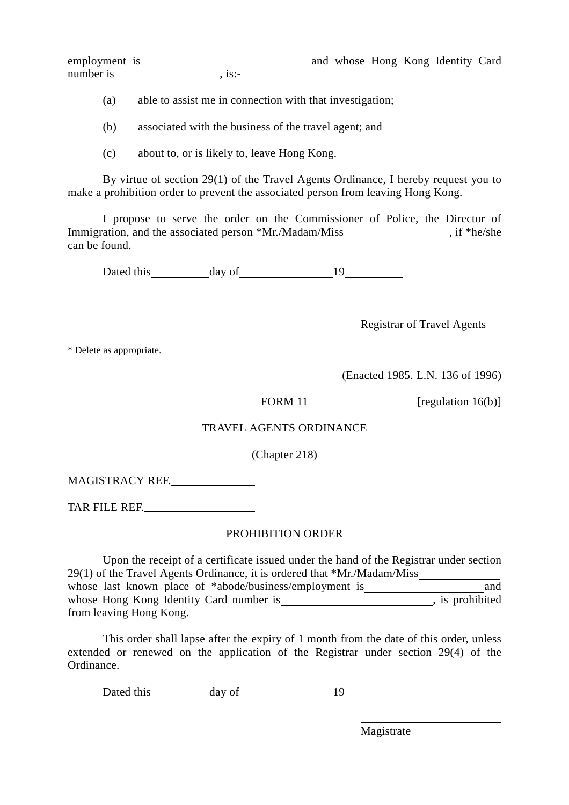employment is and whose Hong Kong Identity Card number is

(a) able to assist me in connection with that investigation;

(b) associated with the business of the travel agent; and

(c) about to, or is likely to, leave Hong Kong.

By virtue of section 29(1) of the Travel Agents Ordinance, I hereby request you to make a prohibition order to prevent the associated person from leaving Hong Kong.

I propose to serve the order on the Commissioner of Police, the Director of Immigration, and the associated person \*Mr./Madam/Miss , if \*he/she can be found.

Dated this day of 19

Registrar of Travel Agents

 $\overline{a}$ 

\* Delete as appropriate.

(Enacted 1985. L.N. 136 of 1996)

FORM 11 [regulation  $16(b)$ ]

#### TRAVEL AGENTS ORDINANCE

(Chapter 218)

MAGISTRACY REF.

TAR FILE REF.

#### PROHIBITION ORDER

Upon the receipt of a certificate issued under the hand of the Registrar under section 29(1) of the Travel Agents Ordinance, it is ordered that \*Mr./Madam/Miss whose last known place of \*abode/business/employment is and whose Hong Kong Identity Card number is , is prohibited from leaving Hong Kong.

This order shall lapse after the expiry of 1 month from the date of this order, unless extended or renewed on the application of the Registrar under section 29(4) of the Ordinance.

Dated this day of 19

Magistrate

 $\overline{a}$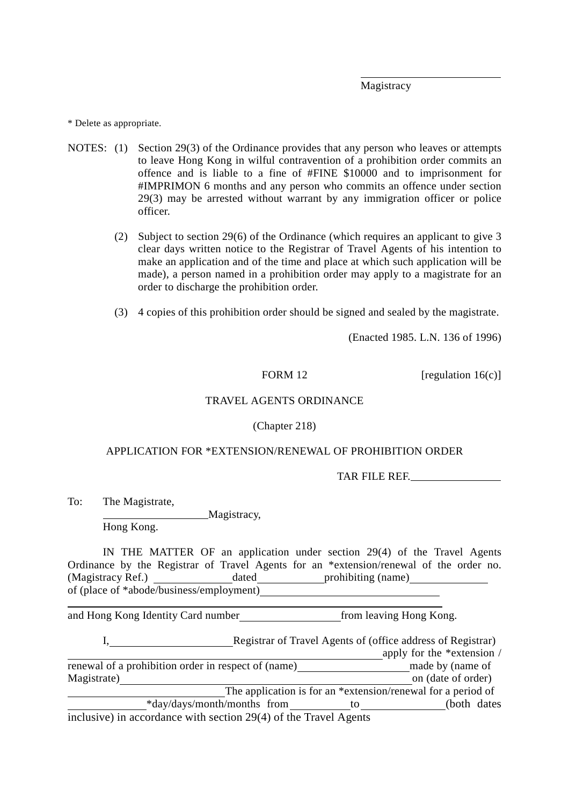Magistracy

 $\overline{a}$ 

\* Delete as appropriate.

- NOTES: (1) Section 29(3) of the Ordinance provides that any person who leaves or attempts to leave Hong Kong in wilful contravention of a prohibition order commits an offence and is liable to a fine of #FINE \$10000 and to imprisonment for #IMPRIMON 6 months and any person who commits an offence under section 29(3) may be arrested without warrant by any immigration officer or police officer.
	- (2) Subject to section 29(6) of the Ordinance (which requires an applicant to give 3 clear days written notice to the Registrar of Travel Agents of his intention to make an application and of the time and place at which such application will be made), a person named in a prohibition order may apply to a magistrate for an order to discharge the prohibition order.
	- (3) 4 copies of this prohibition order should be signed and sealed by the magistrate.

(Enacted 1985. L.N. 136 of 1996)

FORM 12 [regulation  $16(c)$ ]

#### TRAVEL AGENTS ORDINANCE

(Chapter 218)

#### APPLICATION FOR \*EXTENSION/RENEWAL OF PROHIBITION ORDER

TAR FILE REF.

To: The Magistrate,

 $\overline{a}$ 

Magistracy,

Hong Kong.

IN THE MATTER OF an application under section 29(4) of the Travel Agents Ordinance by the Registrar of Travel Agents for an \*extension/renewal of the order no. (Magistracy Ref.) dated prohibiting (name) of (place of \*abode/business/employment)

and Hong Kong Identity Card number *from leaving Hong Kong.* 

Registrar of Travel Agents of (office address of Registrar)

|                                                                  |                                                              | apply for the *extension / |  |
|------------------------------------------------------------------|--------------------------------------------------------------|----------------------------|--|
| renewal of a prohibition order in respect of (name)              |                                                              | made by (name of           |  |
| Magistrate)                                                      |                                                              | on (date of order)         |  |
|                                                                  | The application is for an *extension/renewal for a period of |                            |  |
| *day/days/month/months from                                      | tΟ                                                           | (both dates)               |  |
| inclusive) in accordance with section 29(4) of the Travel Agents |                                                              |                            |  |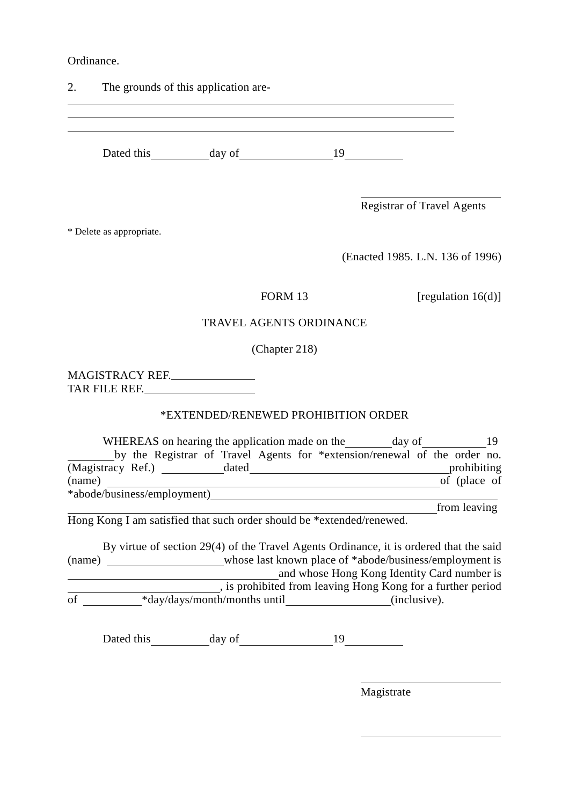Ordinance.

 $\overline{a}$ 

2. The grounds of this application are-

Dated this day of 19

Registrar of Travel Agents

 $\overline{a}$ 

l l

\* Delete as appropriate.

(Enacted 1985. L.N. 136 of 1996)

FORM 13 [regulation  $16(d)$ ]

#### TRAVEL AGENTS ORDINANCE

(Chapter 218)

MAGISTRACY REF. TAR FILE REF.

#### \*EXTENDED/RENEWED PROHIBITION ORDER

|                             | WHEREAS on hearing the application made on the                            |       |  |  | day of |  |              |  |
|-----------------------------|---------------------------------------------------------------------------|-------|--|--|--------|--|--------------|--|
|                             | by the Registrar of Travel Agents for *extension/renewal of the order no. |       |  |  |        |  |              |  |
| (Magistracy Ref.)           |                                                                           | dated |  |  |        |  | prohibiting  |  |
| (name)                      |                                                                           |       |  |  |        |  | of (place of |  |
| *abode/business/employment) |                                                                           |       |  |  |        |  |              |  |
|                             |                                                                           |       |  |  |        |  | from leaving |  |

Hong Kong I am satisfied that such order should be \*extended/renewed.

By virtue of section 29(4) of the Travel Agents Ordinance, it is ordered that the said (name) whose last known place of \*abode/business/employment is and whose Hong Kong Identity Card number is , is prohibited from leaving Hong Kong for a further period  $\overline{\text{of}}$  \*day/days/month/months until (inclusive).

Dated this day of 19

Magistrate

 $\overline{a}$ 

 $\overline{a}$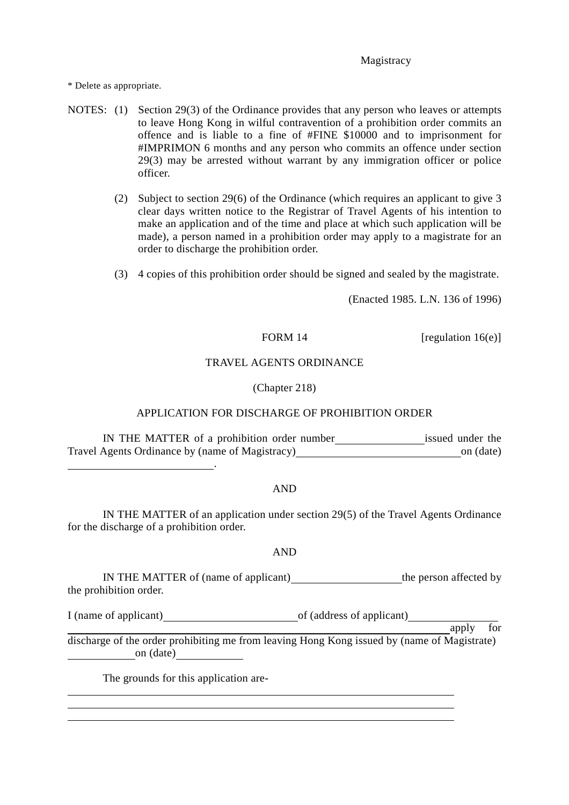#### **Magistracy**

\* Delete as appropriate.

- NOTES: (1) Section 29(3) of the Ordinance provides that any person who leaves or attempts to leave Hong Kong in wilful contravention of a prohibition order commits an offence and is liable to a fine of #FINE \$10000 and to imprisonment for #IMPRIMON 6 months and any person who commits an offence under section 29(3) may be arrested without warrant by any immigration officer or police officer.
	- (2) Subject to section 29(6) of the Ordinance (which requires an applicant to give 3 clear days written notice to the Registrar of Travel Agents of his intention to make an application and of the time and place at which such application will be made), a person named in a prohibition order may apply to a magistrate for an order to discharge the prohibition order.
	- (3) 4 copies of this prohibition order should be signed and sealed by the magistrate.

(Enacted 1985. L.N. 136 of 1996)

FORM 14 [regulation  $16(e)$ ]

#### TRAVEL AGENTS ORDINANCE

(Chapter 218)

#### APPLICATION FOR DISCHARGE OF PROHIBITION ORDER

IN THE MATTER of a prohibition order number issued under the Travel Agents Ordinance by (name of Magistracy) on (date)

#### AND

IN THE MATTER of an application under section 29(5) of the Travel Agents Ordinance for the discharge of a prohibition order.

#### AND

IN THE MATTER of (name of applicant)\_\_\_\_\_\_\_\_\_\_\_\_\_\_\_\_\_\_\_\_\_\_the person affected by the prohibition order.

I (name of applicant)  $\qquad \qquad$  of (address of applicant)

**apply** for

 $\overline{a}$ 

discharge of the order prohibiting me from leaving Hong Kong issued by (name of Magistrate) on (date)

The grounds for this application are-

.

 $\overline{a}$  $\overline{a}$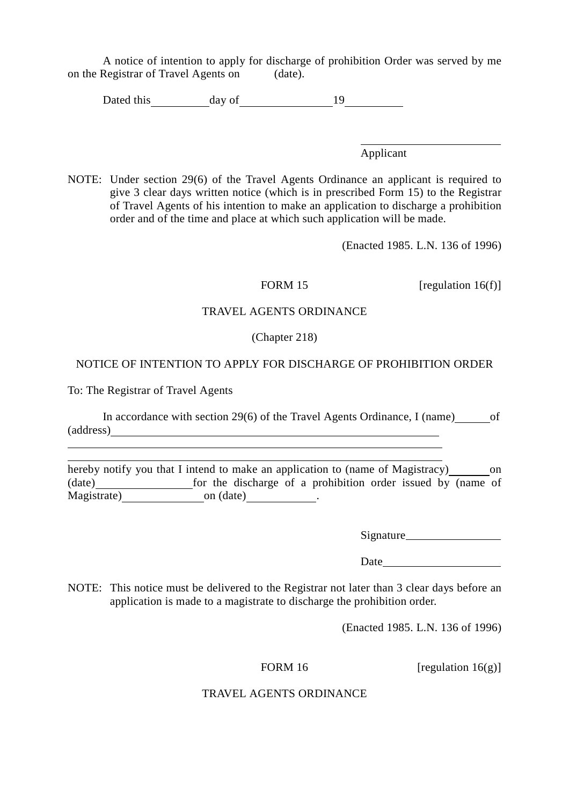A notice of intention to apply for discharge of prohibition Order was served by me on the Registrar of Travel Agents on (date).

Dated this  $\qquad \qquad$  day of  $\qquad \qquad$  19

Applicant

 $\overline{a}$ 

NOTE: Under section 29(6) of the Travel Agents Ordinance an applicant is required to give 3 clear days written notice (which is in prescribed Form 15) to the Registrar of Travel Agents of his intention to make an application to discharge a prohibition order and of the time and place at which such application will be made.

(Enacted 1985. L.N. 136 of 1996)

FORM 15 [regulation 16(f)]

#### TRAVEL AGENTS ORDINANCE

#### (Chapter 218)

#### NOTICE OF INTENTION TO APPLY FOR DISCHARGE OF PROHIBITION ORDER

To: The Registrar of Travel Agents

 $\overline{a}$ 

In accordance with section 29 $(6)$  of the Travel Agents Ordinance, I (name) of (address)

hereby notify you that I intend to make an application to (name of Magistracy) on (date) for the discharge of a prohibition order issued by (name of Magistrate) on (date)  $\qquad \qquad$  .

Signature

Date and the set of the set of the set of the set of the set of the set of the set of the set of the set of the set of the set of the set of the set of the set of the set of the set of the set of the set of the set of the

NOTE: This notice must be delivered to the Registrar not later than 3 clear days before an application is made to a magistrate to discharge the prohibition order.

(Enacted 1985. L.N. 136 of 1996)

FORM 16 [regulation  $16(g)$ ]

#### TRAVEL AGENTS ORDINANCE